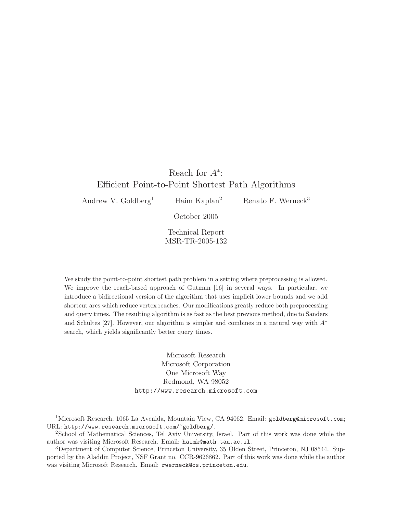# Reach for  $A^*$ : Efficient Point-to-Point Shortest Path Algorithms

Andrew V. Goldberg<sup>1</sup> Haim Kaplan<sup>2</sup> Renato F. Werneck<sup>3</sup>

October 2005

Technical Report MSR-TR-2005-132

We study the point-to-point shortest path problem in a setting where preprocessing is allowed. We improve the reach-based approach of Gutman [16] in several ways. In particular, we introduce a bidirectional version of the algorithm that uses implicit lower bounds and we add shortcut arcs which reduce vertex reaches. Our modifications greatly reduce both preprocessing and query times. The resulting algorithm is as fast as the best previous method, due to Sanders and Schultes [27]. However, our algorithm is simpler and combines in a natural way with  $A^*$ search, which yields significantly better query times.

> Microsoft Research Microsoft Corporation One Microsoft Way Redmond, WA 98052 http://www.research.microsoft.com

<sup>1</sup>Microsoft Research, 1065 La Avenida, Mountain View, CA 94062. Email: goldberg@microsoft.com; URL: http://www.research.microsoft.com/~goldberg/.

<sup>2</sup>School of Mathematical Sciences, Tel Aviv University, Israel. Part of this work was done while the author was visiting Microsoft Research. Email: haimk@math.tau.ac.il.

<sup>3</sup>Department of Computer Science, Princeton University, 35 Olden Street, Princeton, NJ 08544. Supported by the Aladdin Project, NSF Grant no. CCR-9626862. Part of this work was done while the author was visiting Microsoft Research. Email: rwerneck@cs.princeton.edu.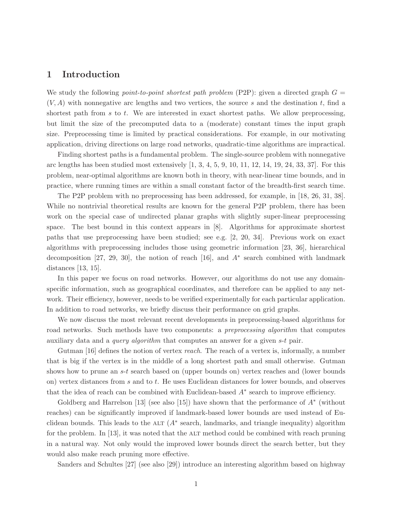## 1 Introduction

We study the following *point-to-point shortest path problem* (P2P): given a directed graph  $G =$  $(V, A)$  with nonnegative arc lengths and two vertices, the source s and the destination t, find a shortest path from  $s$  to  $t$ . We are interested in exact shortest paths. We allow preprocessing, but limit the size of the precomputed data to a (moderate) constant times the input graph size. Preprocessing time is limited by practical considerations. For example, in our motivating application, driving directions on large road networks, quadratic-time algorithms are impractical.

Finding shortest paths is a fundamental problem. The single-source problem with nonnegative arc lengths has been studied most extensively  $[1, 3, 4, 5, 9, 10, 11, 12, 14, 19, 24, 33, 37]$ . For this problem, near-optimal algorithms are known both in theory, with near-linear time bounds, and in practice, where running times are within a small constant factor of the breadth-first search time.

The P2P problem with no preprocessing has been addressed, for example, in [18, 26, 31, 38]. While no nontrivial theoretical results are known for the general P2P problem, there has been work on the special case of undirected planar graphs with slightly super-linear preprocessing space. The best bound in this context appears in [8]. Algorithms for approximate shortest paths that use preprocessing have been studied; see e.g. [2, 20, 34]. Previous work on exact algorithms with preprocessing includes those using geometric information [23, 36], hierarchical decomposition [27, 29, 30], the notion of reach [16], and A<sup>∗</sup> search combined with landmark distances [13, 15].

In this paper we focus on road networks. However, our algorithms do not use any domainspecific information, such as geographical coordinates, and therefore can be applied to any network. Their efficiency, however, needs to be verified experimentally for each particular application. In addition to road networks, we briefly discuss their performance on grid graphs.

We now discuss the most relevant recent developments in preprocessing-based algorithms for road networks. Such methods have two components: a *preprocessing algorithm* that computes auxiliary data and a query algorithm that computes an answer for a given s-t pair.

Gutman [16] defines the notion of vertex *reach*. The reach of a vertex is, informally, a number that is big if the vertex is in the middle of a long shortest path and small otherwise. Gutman shows how to prune an s-t search based on (upper bounds on) vertex reaches and (lower bounds on) vertex distances from s and to t. He uses Euclidean distances for lower bounds, and observes that the idea of reach can be combined with Euclidean-based A<sup>∗</sup> search to improve efficiency.

Goldberg and Harrelson [13] (see also [15]) have shown that the performance of  $A^*$  (without reaches) can be significantly improved if landmark-based lower bounds are used instead of Euclidean bounds. This leads to the ALT  $(A^*$  search, landmarks, and triangle inequality) algorithm for the problem. In [13], it was noted that the ALT method could be combined with reach pruning in a natural way. Not only would the improved lower bounds direct the search better, but they would also make reach pruning more effective.

Sanders and Schultes [27] (see also [29]) introduce an interesting algorithm based on highway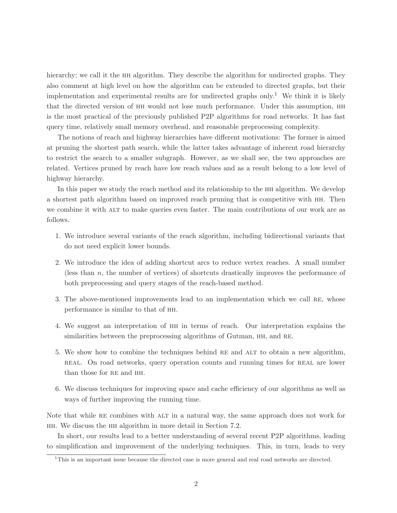hierarchy; we call it the HH algorithm. They describe the algorithm for undirected graphs. They also comment at high level on how the algorithm can be extended to directed graphs, but their implementation and experimental results are for undirected graphs only.<sup>1</sup> We think it is likely that the directed version of hh would not lose much performance. Under this assumption, hh is the most practical of the previously published P2P algorithms for road networks. It has fast query time, relatively small memory overhead, and reasonable preprocessing complexity.

The notions of reach and highway hierarchies have different motivations: The former is aimed at pruning the shortest path search, while the latter takes advantage of inherent road hierarchy to restrict the search to a smaller subgraph. However, as we shall see, the two approaches are related. Vertices pruned by reach have low reach values and as a result belong to a low level of highway hierarchy.

In this paper we study the reach method and its relationship to the hh algorithm. We develop a shortest path algorithm based on improved reach pruning that is competitive with hh. Then we combine it with ALT to make queries even faster. The main contributions of our work are as follows.

- 1. We introduce several variants of the reach algorithm, including bidirectional variants that do not need explicit lower bounds.
- 2. We introduce the idea of adding shortcut arcs to reduce vertex reaches. A small number (less than n, the number of vertices) of shortcuts drastically improves the performance of both preprocessing and query stages of the reach-based method.
- 3. The above-mentioned improvements lead to an implementation which we call re, whose performance is similar to that of hh.
- 4. We suggest an interpretation of hh in terms of reach. Our interpretation explains the similarities between the preprocessing algorithms of Gutman, HH, and RE.
- 5. We show how to combine the techniques behind re and alt to obtain a new algorithm, real. On road networks, query operation counts and running times for real are lower than those for RE and HH.
- 6. We discuss techniques for improving space and cache efficiency of our algorithms as well as ways of further improving the running time.

Note that while RE combines with ALT in a natural way, the same approach does not work for hh. We discuss the hh algorithm in more detail in Section 7.2.

In short, our results lead to a better understanding of several recent P2P algorithms, leading to simplification and improvement of the underlying techniques. This, in turn, leads to very

<sup>&</sup>lt;sup>1</sup>This is an important issue because the directed case is more general and real road networks are directed.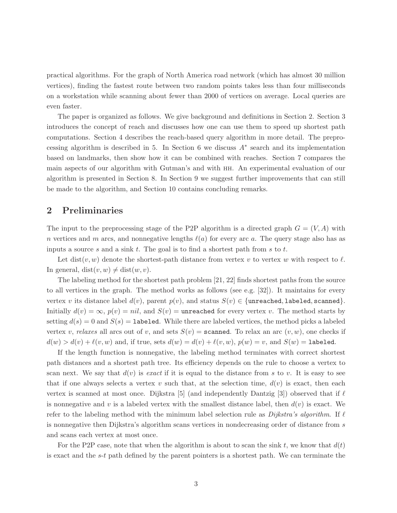practical algorithms. For the graph of North America road network (which has almost 30 million vertices), finding the fastest route between two random points takes less than four milliseconds on a workstation while scanning about fewer than 2000 of vertices on average. Local queries are even faster.

The paper is organized as follows. We give background and definitions in Section 2. Section 3 introduces the concept of reach and discusses how one can use them to speed up shortest path computations. Section 4 describes the reach-based query algorithm in more detail. The preprocessing algorithm is described in 5. In Section 6 we discuss  $A^*$  search and its implementation based on landmarks, then show how it can be combined with reaches. Section 7 compares the main aspects of our algorithm with Gutman's and with hh. An experimental evaluation of our algorithm is presented in Section 8. In Section 9 we suggest further improvements that can still be made to the algorithm, and Section 10 contains concluding remarks.

# 2 Preliminaries

The input to the preprocessing stage of the P2P algorithm is a directed graph  $G = (V, A)$  with n vertices and m arcs, and nonnegative lengths  $\ell(a)$  for every arc a. The query stage also has as inputs a source s and a sink t. The goal is to find a shortest path from s to t.

Let dist(v, w) denote the shortest-path distance from vertex v to vertex w with respect to  $\ell$ . In general,  $dist(v, w) \neq dist(w, v)$ .

The labeling method for the shortest path problem [21, 22] finds shortest paths from the source to all vertices in the graph. The method works as follows (see e.g. [32]). It maintains for every vertex v its distance label  $d(v)$ , parent  $p(v)$ , and status  $S(v) \in \{\text{unreached}, \text{labeled}, \text{scanned}\}.$ Initially  $d(v) = \infty$ ,  $p(v) = nil$ , and  $S(v) =$ **unreached** for every vertex v. The method starts by setting  $d(s) = 0$  and  $S(s) = 1$  abeled. While there are labeled vertices, the method picks a labeled vertex v, relaxes all arcs out of v, and sets  $S(v)$  = scanned. To relax an arc  $(v, w)$ , one checks if  $d(w) > d(v) + \ell(v, w)$  and, if true, sets  $d(w) = d(v) + \ell(v, w)$ ,  $p(w) = v$ , and  $S(w) =$  labeled.

If the length function is nonnegative, the labeling method terminates with correct shortest path distances and a shortest path tree. Its efficiency depends on the rule to choose a vertex to scan next. We say that  $d(v)$  is exact if it is equal to the distance from s to v. It is easy to see that if one always selects a vertex v such that, at the selection time,  $d(v)$  is exact, then each vertex is scanned at most once. Dijkstra [5] (and independently Dantzig [3]) observed that if  $\ell$ is nonnegative and v is a labeled vertex with the smallest distance label, then  $d(v)$  is exact. We refer to the labeling method with the minimum label selection rule as *Dijkstra's algorithm*. If  $\ell$ is nonnegative then Dijkstra's algorithm scans vertices in nondecreasing order of distance from s and scans each vertex at most once.

For the P2P case, note that when the algorithm is about to scan the sink t, we know that  $d(t)$ is exact and the  $s-t$  path defined by the parent pointers is a shortest path. We can terminate the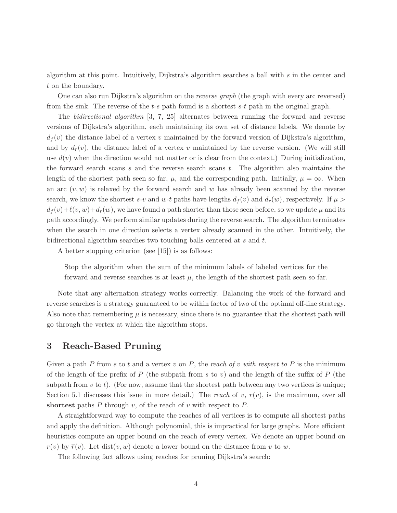algorithm at this point. Intuitively, Dijkstra's algorithm searches a ball with s in the center and t on the boundary.

One can also run Dijkstra's algorithm on the reverse graph (the graph with every arc reversed) from the sink. The reverse of the  $t-s$  path found is a shortest  $s-t$  path in the original graph.

The bidirectional algorithm [3, 7, 25] alternates between running the forward and reverse versions of Dijkstra's algorithm, each maintaining its own set of distance labels. We denote by  $d_f(v)$  the distance label of a vertex v maintained by the forward version of Dijkstra's algorithm, and by  $d_r(v)$ , the distance label of a vertex v maintained by the reverse version. (We will still use  $d(v)$  when the direction would not matter or is clear from the context.) During initialization, the forward search scans  $s$  and the reverse search scans  $t$ . The algorithm also maintains the length of the shortest path seen so far,  $\mu$ , and the corresponding path. Initially,  $\mu = \infty$ . When an arc  $(v, w)$  is relaxed by the forward search and w has already been scanned by the reverse search, we know the shortest s-v and w-t paths have lengths  $d_f(v)$  and  $d_r(w)$ , respectively. If  $\mu >$  $d_f(v)+\ell(v,w)+d_r(w)$ , we have found a path shorter than those seen before, so we update  $\mu$  and its path accordingly. We perform similar updates during the reverse search. The algorithm terminates when the search in one direction selects a vertex already scanned in the other. Intuitively, the bidirectional algorithm searches two touching balls centered at s and t.

A better stopping criterion (see [15]) is as follows:

Stop the algorithm when the sum of the minimum labels of labeled vertices for the forward and reverse searches is at least  $\mu$ , the length of the shortest path seen so far.

Note that any alternation strategy works correctly. Balancing the work of the forward and reverse searches is a strategy guaranteed to be within factor of two of the optimal off-line strategy. Also note that remembering  $\mu$  is necessary, since there is no guarantee that the shortest path will go through the vertex at which the algorithm stops.

# 3 Reach-Based Pruning

Given a path P from s to t and a vertex v on P, the reach of v with respect to P is the minimum of the length of the prefix of P (the subpath from s to v) and the length of the suffix of P (the subpath from  $v$  to  $t$ ). (For now, assume that the shortest path between any two vertices is unique; Section 5.1 discusses this issue in more detail.) The reach of v,  $r(v)$ , is the maximum, over all shortest paths  $P$  through  $v$ , of the reach of  $v$  with respect to  $P$ .

A straightforward way to compute the reaches of all vertices is to compute all shortest paths and apply the definition. Although polynomial, this is impractical for large graphs. More efficient heuristics compute an upper bound on the reach of every vertex. We denote an upper bound on  $r(v)$  by  $\overline{r}(v)$ . Let  $dist(v, w)$  denote a lower bound on the distance from v to w.

The following fact allows using reaches for pruning Dijkstra's search: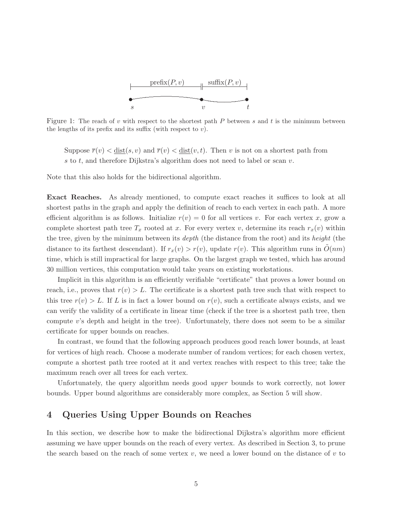

Figure 1: The reach of v with respect to the shortest path  $P$  between s and t is the minimum between the lengths of its prefix and its suffix (with respect to  $v$ ).

Suppose  $\overline{r}(v) < \underline{\text{dist}}(s, v)$  and  $\overline{r}(v) < \underline{\text{dist}}(v, t)$ . Then v is not on a shortest path from  $s$  to  $t$ , and therefore Dijkstra's algorithm does not need to label or scan  $v$ .

Note that this also holds for the bidirectional algorithm.

Exact Reaches. As already mentioned, to compute exact reaches it suffices to look at all shortest paths in the graph and apply the definition of reach to each vertex in each path. A more efficient algorithm is as follows. Initialize  $r(v) = 0$  for all vertices v. For each vertex x, grow a complete shortest path tree  $T_x$  rooted at x. For every vertex v, determine its reach  $r_x(v)$  within the tree, given by the minimum between its *depth* (the distance from the root) and its *height* (the distance to its farthest descendant). If  $r_x(v) > r(v)$ , update  $r(v)$ . This algorithm runs in  $O(nm)$ time, which is still impractical for large graphs. On the largest graph we tested, which has around 30 million vertices, this computation would take years on existing workstations.

Implicit in this algorithm is an efficiently verifiable "certificate" that proves a lower bound on reach, i.e., proves that  $r(v) > L$ . The certificate is a shortest path tree such that with respect to this tree  $r(v) > L$ . If L is in fact a lower bound on  $r(v)$ , such a certificate always exists, and we can verify the validity of a certificate in linear time (check if the tree is a shortest path tree, then compute  $v$ 's depth and height in the tree). Unfortunately, there does not seem to be a similar certificate for upper bounds on reaches.

In contrast, we found that the following approach produces good reach lower bounds, at least for vertices of high reach. Choose a moderate number of random vertices; for each chosen vertex, compute a shortest path tree rooted at it and vertex reaches with respect to this tree; take the maximum reach over all trees for each vertex.

Unfortunately, the query algorithm needs good upper bounds to work correctly, not lower bounds. Upper bound algorithms are considerably more complex, as Section 5 will show.

# 4 Queries Using Upper Bounds on Reaches

In this section, we describe how to make the bidirectional Dijkstra's algorithm more efficient assuming we have upper bounds on the reach of every vertex. As described in Section 3, to prune the search based on the reach of some vertex  $v$ , we need a lower bound on the distance of  $v$  to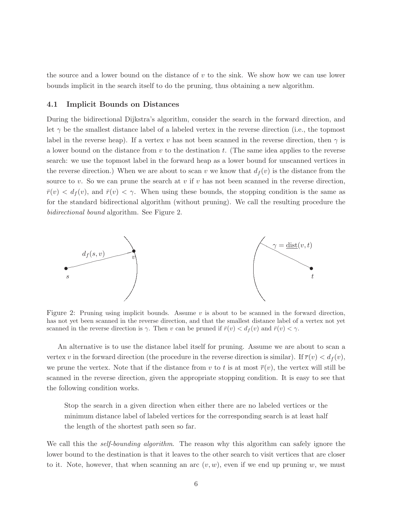the source and a lower bound on the distance of  $v$  to the sink. We show how we can use lower bounds implicit in the search itself to do the pruning, thus obtaining a new algorithm.

## 4.1 Implicit Bounds on Distances

During the bidirectional Dijkstra's algorithm, consider the search in the forward direction, and let  $\gamma$  be the smallest distance label of a labeled vertex in the reverse direction (i.e., the topmost label in the reverse heap). If a vertex v has not been scanned in the reverse direction, then  $\gamma$  is a lower bound on the distance from  $v$  to the destination  $t$ . (The same idea applies to the reverse search: we use the topmost label in the forward heap as a lower bound for unscanned vertices in the reverse direction.) When we are about to scan v we know that  $d_f(v)$  is the distance from the source to v. So we can prune the search at v if v has not been scanned in the reverse direction,  $\bar{r}(v) < d_f(v)$ , and  $\bar{r}(v) < \gamma$ . When using these bounds, the stopping condition is the same as for the standard bidirectional algorithm (without pruning). We call the resulting procedure the bidirectional bound algorithm. See Figure 2.



Figure 2: Pruning using implicit bounds. Assume  $v$  is about to be scanned in the forward direction, has not yet been scanned in the reverse direction, and that the smallest distance label of a vertex not yet scanned in the reverse direction is  $\gamma$ . Then v can be pruned if  $\bar{r}(v) < d_f(v)$  and  $\bar{r}(v) < \gamma$ .

An alternative is to use the distance label itself for pruning. Assume we are about to scan a vertex v in the forward direction (the procedure in the reverse direction is similar). If  $\bar{r}(v) < d_f(v)$ , we prune the vertex. Note that if the distance from v to t is at most  $\overline{r}(v)$ , the vertex will still be scanned in the reverse direction, given the appropriate stopping condition. It is easy to see that the following condition works.

Stop the search in a given direction when either there are no labeled vertices or the minimum distance label of labeled vertices for the corresponding search is at least half the length of the shortest path seen so far.

We call this the *self-bounding algorithm*. The reason why this algorithm can safely ignore the lower bound to the destination is that it leaves to the other search to visit vertices that are closer to it. Note, however, that when scanning an arc  $(v, w)$ , even if we end up pruning w, we must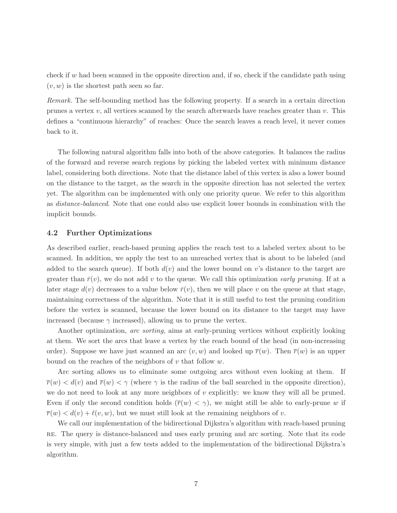check if w had been scanned in the opposite direction and, if so, check if the candidate path using  $(v, w)$  is the shortest path seen so far.

Remark. The self-bounding method has the following property. If a search in a certain direction prunes a vertex  $v$ , all vertices scanned by the search afterwards have reaches greater than  $v$ . This defines a "continuous hierarchy" of reaches: Once the search leaves a reach level, it never comes back to it.

The following natural algorithm falls into both of the above categories. It balances the radius of the forward and reverse search regions by picking the labeled vertex with minimum distance label, considering both directions. Note that the distance label of this vertex is also a lower bound on the distance to the target, as the search in the opposite direction has not selected the vertex yet. The algorithm can be implemented with only one priority queue. We refer to this algorithm as distance-balanced. Note that one could also use explicit lower bounds in combination with the implicit bounds.

## 4.2 Further Optimizations

As described earlier, reach-based pruning applies the reach test to a labeled vertex about to be scanned. In addition, we apply the test to an unreached vertex that is about to be labeled (and added to the search queue). If both  $d(v)$  and the lower bound on v's distance to the target are greater than  $\bar{r}(v)$ , we do not add v to the queue. We call this optimization *early pruning*. If at a later stage  $d(v)$  decreases to a value below  $\bar{r}(v)$ , then we will place v on the queue at that stage, maintaining correctness of the algorithm. Note that it is still useful to test the pruning condition before the vertex is scanned, because the lower bound on its distance to the target may have increased (because  $\gamma$  increased), allowing us to prune the vertex.

Another optimization, arc sorting, aims at early-pruning vertices without explicitly looking at them. We sort the arcs that leave a vertex by the reach bound of the head (in non-increasing order). Suppose we have just scanned an arc  $(v, w)$  and looked up  $\overline{r}(w)$ . Then  $\overline{r}(w)$  is an upper bound on the reaches of the neighbors of  $v$  that follow  $w$ .

Arc sorting allows us to eliminate some outgoing arcs without even looking at them. If  $\overline{r}(w) < d(v)$  and  $\overline{r}(w) < \gamma$  (where  $\gamma$  is the radius of the ball searched in the opposite direction), we do not need to look at any more neighbors of  $v$  explicitly: we know they will all be pruned. Even if only the second condition holds  $(\bar{r}(w) < \gamma)$ , we might still be able to early-prune w if  $\overline{r}(w) < d(v) + \ell(v, w)$ , but we must still look at the remaining neighbors of v.

We call our implementation of the bidirectional Dijkstra's algorithm with reach-based pruning re. The query is distance-balanced and uses early pruning and arc sorting. Note that its code is very simple, with just a few tests added to the implementation of the bidirectional Dijkstra's algorithm.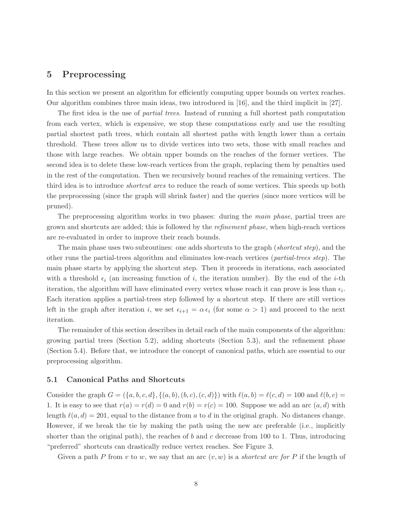# 5 Preprocessing

In this section we present an algorithm for efficiently computing upper bounds on vertex reaches. Our algorithm combines three main ideas, two introduced in [16], and the third implicit in [27].

The first idea is the use of partial trees. Instead of running a full shortest path computation from each vertex, which is expensive, we stop these computations early and use the resulting partial shortest path trees, which contain all shortest paths with length lower than a certain threshold. These trees allow us to divide vertices into two sets, those with small reaches and those with large reaches. We obtain upper bounds on the reaches of the former vertices. The second idea is to delete these low-reach vertices from the graph, replacing them by penalties used in the rest of the computation. Then we recursively bound reaches of the remaining vertices. The third idea is to introduce *shortcut arcs* to reduce the reach of some vertices. This speeds up both the preprocessing (since the graph will shrink faster) and the queries (since more vertices will be pruned).

The preprocessing algorithm works in two phases: during the *main phase*, partial trees are grown and shortcuts are added; this is followed by the refinement phase, when high-reach vertices are re-evaluated in order to improve their reach bounds.

The main phase uses two subroutines: one adds shortcuts to the graph (*shortcut step*), and the other runs the partial-trees algorithm and eliminates low-reach vertices (partial-trees step). The main phase starts by applying the shortcut step. Then it proceeds in iterations, each associated with a threshold  $\epsilon_i$  (an increasing function of i, the iteration number). By the end of the i-th iteration, the algorithm will have eliminated every vertex whose reach it can prove is less than  $\epsilon_i$ . Each iteration applies a partial-trees step followed by a shortcut step. If there are still vertices left in the graph after iteration i, we set  $\epsilon_{i+1} = \alpha \epsilon_i$  (for some  $\alpha > 1$ ) and proceed to the next iteration.

The remainder of this section describes in detail each of the main components of the algorithm: growing partial trees (Section 5.2), adding shortcuts (Section 5.3), and the refinement phase (Section 5.4). Before that, we introduce the concept of canonical paths, which are essential to our preprocessing algorithm.

## 5.1 Canonical Paths and Shortcuts

Consider the graph  $G = (\{a, b, c, d\}, \{(a, b), (b, c), (c, d)\})$  with  $\ell(a, b) = \ell(c, d) = 100$  and  $\ell(b, c) =$ 1. It is easy to see that  $r(a) = r(d) = 0$  and  $r(b) = r(c) = 100$ . Suppose we add an arc  $(a, d)$  with length  $\ell(a, d) = 201$ , equal to the distance from a to d in the original graph. No distances change. However, if we break the tie by making the path using the new arc preferable (i.e., implicitly shorter than the original path), the reaches of b and c decrease from 100 to 1. Thus, introducing "preferred" shortcuts can drastically reduce vertex reaches. See Figure 3.

Given a path P from v to w, we say that an arc  $(v, w)$  is a *shortcut arc for* P if the length of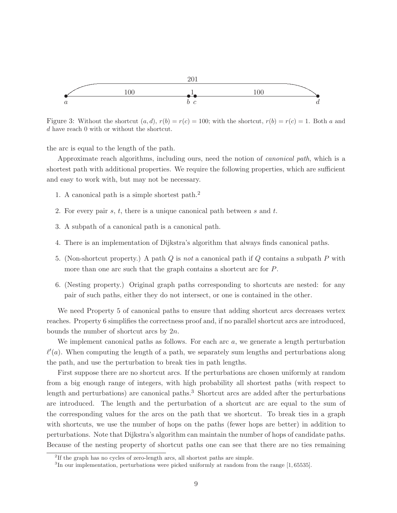

Figure 3: Without the shortcut  $(a, d)$ ,  $r(b) = r(c) = 100$ ; with the shortcut,  $r(b) = r(c) = 1$ . Both a and d have reach 0 with or without the shortcut.

the arc is equal to the length of the path.

Approximate reach algorithms, including ours, need the notion of *canonical path*, which is a shortest path with additional properties. We require the following properties, which are sufficient and easy to work with, but may not be necessary.

- 1. A canonical path is a simple shortest path.<sup>2</sup>
- 2. For every pair s, t, there is a unique canonical path between s and t.
- 3. A subpath of a canonical path is a canonical path.
- 4. There is an implementation of Dijkstra's algorithm that always finds canonical paths.
- 5. (Non-shortcut property.) A path Q is not a canonical path if Q contains a subpath P with more than one arc such that the graph contains a shortcut arc for P.
- 6. (Nesting property.) Original graph paths corresponding to shortcuts are nested: for any pair of such paths, either they do not intersect, or one is contained in the other.

We need Property 5 of canonical paths to ensure that adding shortcut arcs decreases vertex reaches. Property 6 simplifies the correctness proof and, if no parallel shortcut arcs are introduced, bounds the number of shortcut arcs by  $2n$ .

We implement canonical paths as follows. For each arc a, we generate a length perturbation  $\ell'(a)$ . When computing the length of a path, we separately sum lengths and perturbations along the path, and use the perturbation to break ties in path lengths.

First suppose there are no shortcut arcs. If the perturbations are chosen uniformly at random from a big enough range of integers, with high probability all shortest paths (with respect to length and perturbations) are canonical paths.<sup>3</sup> Shortcut arcs are added after the perturbations are introduced. The length and the perturbation of a shortcut arc are equal to the sum of the corresponding values for the arcs on the path that we shortcut. To break ties in a graph with shortcuts, we use the number of hops on the paths (fewer hops are better) in addition to perturbations. Note that Dijkstra's algorithm can maintain the number of hops of candidate paths. Because of the nesting property of shortcut paths one can see that there are no ties remaining

<sup>&</sup>lt;sup>2</sup>If the graph has no cycles of zero-length arcs, all shortest paths are simple.

<sup>&</sup>lt;sup>3</sup>In our implementation, perturbations were picked uniformly at random from the range [1,65535].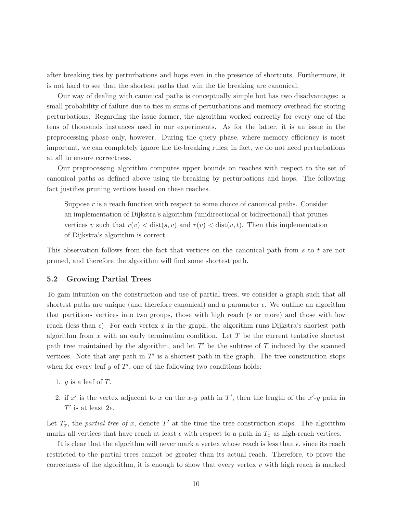after breaking ties by perturbations and hops even in the presence of shortcuts. Furthermore, it is not hard to see that the shortest paths that win the tie breaking are canonical.

Our way of dealing with canonical paths is conceptually simple but has two disadvantages: a small probability of failure due to ties in sums of perturbations and memory overhead for storing perturbations. Regarding the issue former, the algorithm worked correctly for every one of the tens of thousands instances used in our experiments. As for the latter, it is an issue in the preprocessing phase only, however. During the query phase, where memory efficiency is most important, we can completely ignore the tie-breaking rules; in fact, we do not need perturbations at all to ensure correctness.

Our preprocessing algorithm computes upper bounds on reaches with respect to the set of canonical paths as defined above using tie breaking by perturbations and hops. The following fact justifies pruning vertices based on these reaches.

Suppose  $r$  is a reach function with respect to some choice of canonical paths. Consider an implementation of Dijkstra's algorithm (unidirectional or bidirectional) that prunes vertices v such that  $r(v) < \text{dist}(s, v)$  and  $r(v) < \text{dist}(v, t)$ . Then this implementation of Dijkstra's algorithm is correct.

This observation follows from the fact that vertices on the canonical path from s to t are not pruned, and therefore the algorithm will find some shortest path.

## 5.2 Growing Partial Trees

To gain intuition on the construction and use of partial trees, we consider a graph such that all shortest paths are unique (and therefore canonical) and a parameter  $\epsilon$ . We outline an algorithm that partitions vertices into two groups, those with high reach ( $\epsilon$  or more) and those with low reach (less than  $\epsilon$ ). For each vertex x in the graph, the algorithm runs Dijkstra's shortest path algorithm from  $x$  with an early termination condition. Let  $T$  be the current tentative shortest path tree maintained by the algorithm, and let  $T'$  be the subtree of T induced by the scanned vertices. Note that any path in  $T'$  is a shortest path in the graph. The tree construction stops when for every leaf  $y$  of  $T'$ , one of the following two conditions holds:

- 1.  $y$  is a leaf of  $T$ .
- 2. if x' is the vertex adjacent to x on the x-y path in T', then the length of the x'-y path in  $T'$  is at least  $2\epsilon$ .

Let  $T_x$ , the partial tree of x, denote T' at the time the tree construction stops. The algorithm marks all vertices that have reach at least  $\epsilon$  with respect to a path in  $T_x$  as high-reach vertices.

It is clear that the algorithm will never mark a vertex whose reach is less than  $\epsilon$ , since its reach restricted to the partial trees cannot be greater than its actual reach. Therefore, to prove the correctness of the algorithm, it is enough to show that every vertex  $v$  with high reach is marked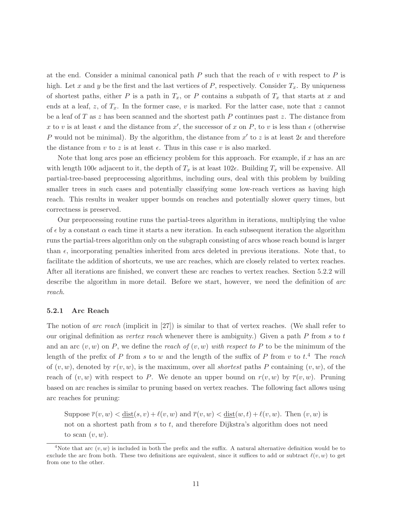at the end. Consider a minimal canonical path  $P$  such that the reach of  $v$  with respect to  $P$  is high. Let x and y be the first and the last vertices of P, respectively. Consider  $T_x$ . By uniqueness of shortest paths, either P is a path in  $T_x$ , or P contains a subpath of  $T_x$  that starts at x and ends at a leaf, z, of  $T_x$ . In the former case, v is marked. For the latter case, note that z cannot be a leaf of T as z has been scanned and the shortest path P continues past z. The distance from x to v is at least  $\epsilon$  and the distance from  $x'$ , the successor of x on P, to v is less than  $\epsilon$  (otherwise P would not be minimal). By the algorithm, the distance from  $x'$  to z is at least  $2\epsilon$  and therefore the distance from v to z is at least  $\epsilon$ . Thus in this case v is also marked.

Note that long arcs pose an efficiency problem for this approach. For example, if  $x$  has an arc with length 100 $\epsilon$  adjacent to it, the depth of  $T_x$  is at least 102 $\epsilon$ . Building  $T_x$  will be expensive. All partial-tree-based preprocessing algorithms, including ours, deal with this problem by building smaller trees in such cases and potentially classifying some low-reach vertices as having high reach. This results in weaker upper bounds on reaches and potentially slower query times, but correctness is preserved.

Our preprocessing routine runs the partial-trees algorithm in iterations, multiplying the value of  $\epsilon$  by a constant  $\alpha$  each time it starts a new iteration. In each subsequent iteration the algorithm runs the partial-trees algorithm only on the subgraph consisting of arcs whose reach bound is larger than  $\epsilon$ , incorporating penalties inherited from arcs deleted in previous iterations. Note that, to facilitate the addition of shortcuts, we use arc reaches, which are closely related to vertex reaches. After all iterations are finished, we convert these arc reaches to vertex reaches. Section 5.2.2 will describe the algorithm in more detail. Before we start, however, we need the definition of arc reach.

#### 5.2.1 Arc Reach

The notion of arc reach (implicit in  $[27]$ ) is similar to that of vertex reaches. (We shall refer to our original definition as *vertex reach* whenever there is ambiguity.) Given a path  $P$  from s to t and an arc  $(v, w)$  on P, we define the reach of  $(v, w)$  with respect to P to be the minimum of the length of the prefix of P from s to w and the length of the suffix of P from v to  $t$ .<sup>4</sup> The reach of  $(v, w)$ , denoted by  $r(v, w)$ , is the maximum, over all *shortest* paths P containing  $(v, w)$ , of the reach of  $(v, w)$  with respect to P. We denote an upper bound on  $r(v, w)$  by  $\overline{r}(v, w)$ . Pruning based on arc reaches is similar to pruning based on vertex reaches. The following fact allows using arc reaches for pruning:

Suppose  $\overline{r}(v, w) < \text{dist}(s, v) + \ell(v, w)$  and  $\overline{r}(v, w) < \text{dist}(w, t) + \ell(v, w)$ . Then  $(v, w)$  is not on a shortest path from s to t, and therefore Dijkstra's algorithm does not need to scan  $(v, w)$ .

<sup>&</sup>lt;sup>4</sup>Note that arc  $(v, w)$  is included in both the prefix and the suffix. A natural alternative definition would be to exclude the arc from both. These two definitions are equivalent, since it suffices to add or subtract  $\ell(v, w)$  to get from one to the other.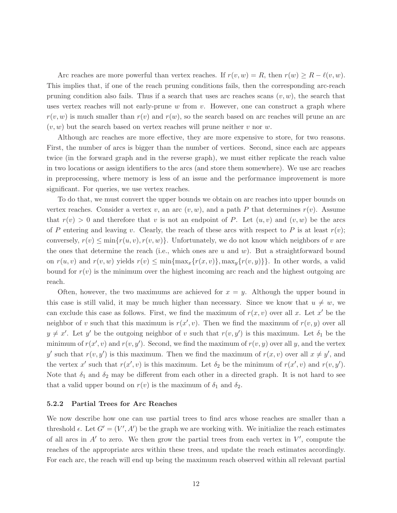Arc reaches are more powerful than vertex reaches. If  $r(v, w) = R$ , then  $r(w) \ge R - \ell(v, w)$ . This implies that, if one of the reach pruning conditions fails, then the corresponding arc-reach pruning condition also fails. Thus if a search that uses arc reaches scans  $(v, w)$ , the search that uses vertex reaches will not early-prune  $w$  from  $v$ . However, one can construct a graph where  $r(v, w)$  is much smaller than  $r(v)$  and  $r(w)$ , so the search based on arc reaches will prune an arc  $(v, w)$  but the search based on vertex reaches will prune neither v nor w.

Although arc reaches are more effective, they are more expensive to store, for two reasons. First, the number of arcs is bigger than the number of vertices. Second, since each arc appears twice (in the forward graph and in the reverse graph), we must either replicate the reach value in two locations or assign identifiers to the arcs (and store them somewhere). We use arc reaches in preprocessing, where memory is less of an issue and the performance improvement is more significant. For queries, we use vertex reaches.

To do that, we must convert the upper bounds we obtain on arc reaches into upper bounds on vertex reaches. Consider a vertex v, an arc  $(v, w)$ , and a path P that determines  $r(v)$ . Assume that  $r(v) > 0$  and therefore that v is not an endpoint of P. Let  $(u, v)$  and  $(v, w)$  be the arcs of P entering and leaving v. Clearly, the reach of these arcs with respect to P is at least  $r(v)$ ; conversely,  $r(v) \leq \min\{r(u, v), r(v, w)\}\$ . Unfortunately, we do not know which neighbors of v are the ones that determine the reach (i.e., which ones are u and w). But a straightforward bound on  $r(u, v)$  and  $r(v, w)$  yields  $r(v) \le \min{\max_x\{r(x, v)\}\}\text{max}_y\{r(v, y)\}\}.$  In other words, a valid bound for  $r(v)$  is the minimum over the highest incoming arc reach and the highest outgoing arc reach.

Often, however, the two maximums are achieved for  $x = y$ . Although the upper bound in this case is still valid, it may be much higher than necessary. Since we know that  $u \neq w$ , we can exclude this case as follows. First, we find the maximum of  $r(x, v)$  over all x. Let x' be the neighbor of v such that this maximum is  $r(x', v)$ . Then we find the maximum of  $r(v, y)$  over all  $y \neq x'$ . Let y' be the outgoing neighbor of v such that  $r(v, y')$  is this maximum. Let  $\delta_1$  be the minimum of  $r(x', v)$  and  $r(v, y')$ . Second, we find the maximum of  $r(v, y)$  over all y, and the vertex y' such that  $r(v, y')$  is this maximum. Then we find the maximum of  $r(x, v)$  over all  $x \neq y'$ , and the vertex x' such that  $r(x', v)$  is this maximum. Let  $\delta_2$  be the minimum of  $r(x', v)$  and  $r(v, y')$ . Note that  $\delta_1$  and  $\delta_2$  may be different from each other in a directed graph. It is not hard to see that a valid upper bound on  $r(v)$  is the maximum of  $\delta_1$  and  $\delta_2$ .

#### 5.2.2 Partial Trees for Arc Reaches

We now describe how one can use partial trees to find arcs whose reaches are smaller than a threshold  $\epsilon$ . Let  $G' = (V', A')$  be the graph we are working with. We initialize the reach estimates of all arcs in  $A'$  to zero. We then grow the partial trees from each vertex in  $V'$ , compute the reaches of the appropriate arcs within these trees, and update the reach estimates accordingly. For each arc, the reach will end up being the maximum reach observed within all relevant partial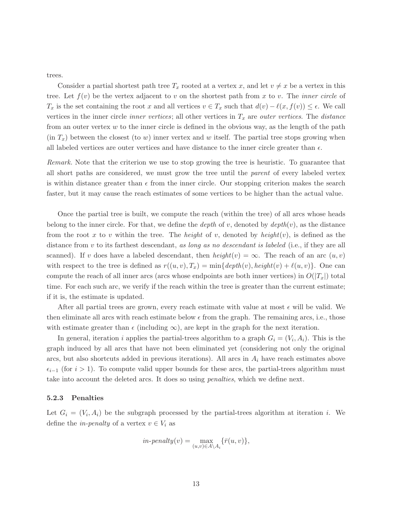trees.

Consider a partial shortest path tree  $T_x$  rooted at a vertex x, and let  $v \neq x$  be a vertex in this tree. Let  $f(v)$  be the vertex adjacent to v on the shortest path from x to v. The *inner circle* of  $T_x$  is the set containing the root x and all vertices  $v \in T_x$  such that  $d(v) - \ell(x, f(v)) \leq \epsilon$ . We call vertices in the inner circle *inner vertices*; all other vertices in  $T_x$  are *outer vertices*. The *distance* from an outer vertex  $w$  to the inner circle is defined in the obvious way, as the length of the path  $(in T<sub>x</sub>)$  between the closest (to w) inner vertex and w itself. The partial tree stops growing when all labeled vertices are outer vertices and have distance to the inner circle greater than  $\epsilon$ .

Remark. Note that the criterion we use to stop growing the tree is heuristic. To guarantee that all short paths are considered, we must grow the tree until the parent of every labeled vertex is within distance greater than  $\epsilon$  from the inner circle. Our stopping criterion makes the search faster, but it may cause the reach estimates of some vertices to be higher than the actual value.

Once the partial tree is built, we compute the reach (within the tree) of all arcs whose heads belong to the inner circle. For that, we define the *depth* of v, denoted by  $depth(v)$ , as the distance from the root x to v within the tree. The height of v, denoted by height $(v)$ , is defined as the distance from v to its farthest descendant, as long as no descendant is labeled (i.e., if they are all scanned). If v does have a labeled descendant, then  $height(v) = \infty$ . The reach of an arc  $(u, v)$ with respect to the tree is defined as  $r((u, v), T_x) = \min\{depth(v), height(v) + \ell(u, v)\}.$  One can compute the reach of all inner arcs (arcs whose endpoints are both inner vertices) in  $O(|T_x|)$  total time. For each such arc, we verify if the reach within the tree is greater than the current estimate; if it is, the estimate is updated.

After all partial trees are grown, every reach estimate with value at most  $\epsilon$  will be valid. We then eliminate all arcs with reach estimate below  $\epsilon$  from the graph. The remaining arcs, i.e., those with estimate greater than  $\epsilon$  (including  $\infty$ ), are kept in the graph for the next iteration.

In general, iteration i applies the partial-trees algorithm to a graph  $G_i = (V_i, A_i)$ . This is the graph induced by all arcs that have not been eliminated yet (considering not only the original arcs, but also shortcuts added in previous iterations). All arcs in  $A_i$  have reach estimates above  $\epsilon_{i-1}$  (for  $i > 1$ ). To compute valid upper bounds for these arcs, the partial-trees algorithm must take into account the deleted arcs. It does so using penalties, which we define next.

#### 5.2.3 Penalties

Let  $G_i = (V_i, A_i)$  be the subgraph processed by the partial-trees algorithm at iteration *i*. We define the *in-penalty* of a vertex  $v \in V_i$  as

$$
in\text{-}penalty(v) = \max_{(u,v)\in A\setminus A_i} \{\bar{r}(u,v)\},\,
$$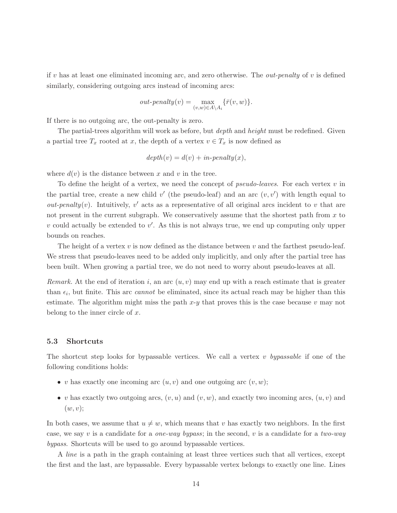if v has at least one eliminated incoming arc, and zero otherwise. The *out-penalty* of v is defined similarly, considering outgoing arcs instead of incoming arcs:

$$
out-penalty(v) = \max_{(v,w)\in A\backslash A_i} \{\bar{r}(v,w)\}.
$$

If there is no outgoing arc, the out-penalty is zero.

The partial-trees algorithm will work as before, but *depth* and *height* must be redefined. Given a partial tree  $T_x$  rooted at x, the depth of a vertex  $v \in T_x$  is now defined as

$$
depth(v) = d(v) + in-penalty(x),
$$

where  $d(v)$  is the distance between x and v in the tree.

To define the height of a vertex, we need the concept of *pseudo-leaves*. For each vertex  $v$  in the partial tree, create a new child  $v'$  (the pseudo-leaf) and an arc  $(v, v')$  with length equal to *out-penalty*(*v*). Intuitively,  $v'$  acts as a representative of all original arcs incident to *v* that are not present in the current subgraph. We conservatively assume that the shortest path from  $x$  to  $v$  could actually be extended to  $v'$ . As this is not always true, we end up computing only upper bounds on reaches.

The height of a vertex  $v$  is now defined as the distance between  $v$  and the farthest pseudo-leaf. We stress that pseudo-leaves need to be added only implicitly, and only after the partial tree has been built. When growing a partial tree, we do not need to worry about pseudo-leaves at all.

*Remark.* At the end of iteration i, an arc  $(u, v)$  may end up with a reach estimate that is greater than  $\epsilon_i$ , but finite. This arc *cannot* be eliminated, since its actual reach may be higher than this estimate. The algorithm might miss the path  $x-y$  that proves this is the case because v may not belong to the inner circle of  $x$ .

## 5.3 Shortcuts

The shortcut step looks for bypassable vertices. We call a vertex v bypassable if one of the following conditions holds:

- v has exactly one incoming arc  $(u, v)$  and one outgoing arc  $(v, w)$ ;
- v has exactly two outgoing arcs,  $(v, u)$  and  $(v, w)$ , and exactly two incoming arcs,  $(u, v)$  and  $(w, v);$

In both cases, we assume that  $u \neq w$ , which means that v has exactly two neighbors. In the first case, we say v is a candidate for a *one-way bypass*; in the second, v is a candidate for a *two-way* bypass. Shortcuts will be used to go around bypassable vertices.

A line is a path in the graph containing at least three vertices such that all vertices, except the first and the last, are bypassable. Every bypassable vertex belongs to exactly one line. Lines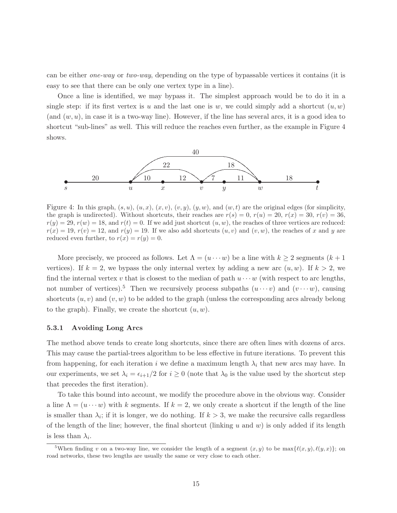can be either one-way or two-way, depending on the type of bypassable vertices it contains (it is easy to see that there can be only one vertex type in a line).

Once a line is identified, we may bypass it. The simplest approach would be to do it in a single step: if its first vertex is u and the last one is w, we could simply add a shortcut  $(u, w)$ (and  $(w, u)$ , in case it is a two-way line). However, if the line has several arcs, it is a good idea to shortcut "sub-lines" as well. This will reduce the reaches even further, as the example in Figure 4 shows.



Figure 4: In this graph,  $(s, u)$ ,  $(u, x)$ ,  $(x, v)$ ,  $(v, y)$ ,  $(y, w)$ , and  $(w, t)$  are the original edges (for simplicity, the graph is undirected). Without shortcuts, their reaches are  $r(s) = 0$ ,  $r(u) = 20$ ,  $r(x) = 30$ ,  $r(v) = 36$ ,  $r(y) = 29, r(w) = 18$ , and  $r(t) = 0$ . If we add just shortcut  $(u, w)$ , the reaches of three vertices are reduced:  $r(x) = 19, r(v) = 12$ , and  $r(y) = 19$ . If we also add shortcuts  $(u, v)$  and  $(v, w)$ , the reaches of x and y are reduced even further, to  $r(x) = r(y) = 0$ .

More precisely, we proceed as follows. Let  $\Lambda = (u \cdots w)$  be a line with  $k \geq 2$  segments  $(k+1)$ vertices). If  $k = 2$ , we bypass the only internal vertex by adding a new arc  $(u, w)$ . If  $k > 2$ , we find the internal vertex v that is closest to the median of path  $u \cdots w$  (with respect to arc lengths, not number of vertices).<sup>5</sup> Then we recursively process subpaths  $(u \cdots v)$  and  $(v \cdots w)$ , causing shortcuts  $(u, v)$  and  $(v, w)$  to be added to the graph (unless the corresponding arcs already belong to the graph). Finally, we create the shortcut  $(u, w)$ .

#### 5.3.1 Avoiding Long Arcs

The method above tends to create long shortcuts, since there are often lines with dozens of arcs. This may cause the partial-trees algorithm to be less effective in future iterations. To prevent this from happening, for each iteration i we define a maximum length  $\lambda_i$  that new arcs may have. In our experiments, we set  $\lambda_i = \epsilon_{i+1}/2$  for  $i \geq 0$  (note that  $\lambda_0$  is the value used by the shortcut step that precedes the first iteration).

To take this bound into account, we modify the procedure above in the obvious way. Consider a line  $\Lambda = (u \cdots w)$  with k segments. If  $k = 2$ , we only create a shortcut if the length of the line is smaller than  $\lambda_i$ ; if it is longer, we do nothing. If  $k > 3$ , we make the recursive calls regardless of the length of the line; however, the final shortcut (linking u and w) is only added if its length is less than  $\lambda_i$ .

<sup>&</sup>lt;sup>5</sup>When finding v on a two-way line, we consider the length of a segment  $(x, y)$  to be  $\max{\{\ell(x, y), \ell(y, x)\}}$ ; on road networks, these two lengths are usually the same or very close to each other.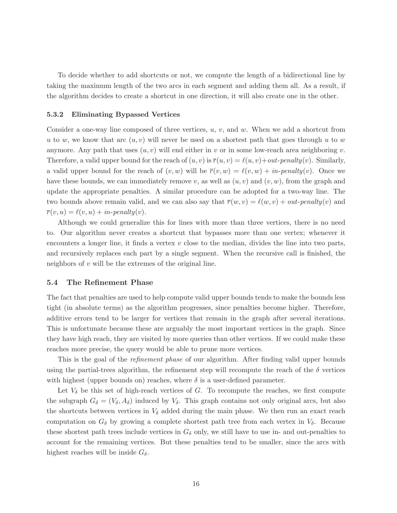To decide whether to add shortcuts or not, we compute the length of a bidirectional line by taking the maximum length of the two arcs in each segment and adding them all. As a result, if the algorithm decides to create a shortcut in one direction, it will also create one in the other.

#### 5.3.2 Eliminating Bypassed Vertices

Consider a one-way line composed of three vertices,  $u, v$ , and  $w$ . When we add a shortcut from u to w, we know that arc  $(u, v)$  will never be used on a shortest path that goes through u to w anymore. Any path that uses  $(u, v)$  will end either in v or in some low-reach area neighboring v. Therefore, a valid upper bound for the reach of  $(u, v)$  is  $\overline{r}(u, v) = \ell(u, v) + out-penalty(v)$ . Similarly, a valid upper bound for the reach of  $(v, w)$  will be  $\overline{r}(v, w) = \ell(v, w) + in-penalty(v)$ . Once we have these bounds, we can immediately remove v, as well as  $(u, v)$  and  $(v, w)$ , from the graph and update the appropriate penalties. A similar procedure can be adopted for a two-way line. The two bounds above remain valid, and we can also say that  $\overline{r}(w, v) = \ell(w, v) + out-penalty(v)$  and  $\overline{r}(v, u) = \ell(v, u) + in-penalty(v).$ 

Although we could generalize this for lines with more than three vertices, there is no need to. Our algorithm never creates a shortcut that bypasses more than one vertex; whenever it encounters a longer line, it finds a vertex  $v$  close to the median, divides the line into two parts, and recursively replaces each part by a single segment. When the recursive call is finished, the neighbors of  $v$  will be the extremes of the original line.

## 5.4 The Refinement Phase

The fact that penalties are used to help compute valid upper bounds tends to make the bounds less tight (in absolute terms) as the algorithm progresses, since penalties become higher. Therefore, additive errors tend to be larger for vertices that remain in the graph after several iterations. This is unfortunate because these are arguably the most important vertices in the graph. Since they have high reach, they are visited by more queries than other vertices. If we could make these reaches more precise, the query would be able to prune more vertices.

This is the goal of the *refinement phase* of our algorithm. After finding valid upper bounds using the partial-trees algorithm, the refinement step will recompute the reach of the  $\delta$  vertices with highest (upper bounds on) reaches, where  $\delta$  is a user-defined parameter.

Let  $V_{\delta}$  be this set of high-reach vertices of G. To recompute the reaches, we first compute the subgraph  $G_{\delta} = (V_{\delta}, A_{\delta})$  induced by  $V_{\delta}$ . This graph contains not only original arcs, but also the shortcuts between vertices in  $V_{\delta}$  added during the main phase. We then run an exact reach computation on  $G_{\delta}$  by growing a complete shortest path tree from each vertex in  $V_{\delta}$ . Because these shortest path trees include vertices in  $G_{\delta}$  only, we still have to use in- and out-penalties to account for the remaining vertices. But these penalties tend to be smaller, since the arcs with highest reaches will be inside  $G_{\delta}$ .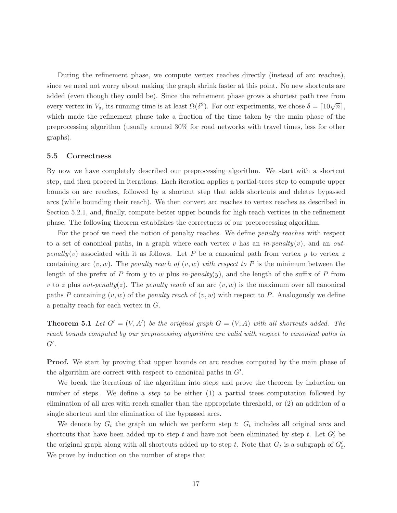During the refinement phase, we compute vertex reaches directly (instead of arc reaches), since we need not worry about making the graph shrink faster at this point. No new shortcuts are added (even though they could be). Since the refinement phase grows a shortest path tree from every vertex in  $V_{\delta}$ , its running time is at least  $\Omega(\delta^2)$ . For our experiments, we chose  $\delta = \lceil 10\sqrt{n} \rceil$ , which made the refinement phase take a fraction of the time taken by the main phase of the preprocessing algorithm (usually around 30% for road networks with travel times, less for other graphs).

## 5.5 Correctness

By now we have completely described our preprocessing algorithm. We start with a shortcut step, and then proceed in iterations. Each iteration applies a partial-trees step to compute upper bounds on arc reaches, followed by a shortcut step that adds shortcuts and deletes bypassed arcs (while bounding their reach). We then convert arc reaches to vertex reaches as described in Section 5.2.1, and, finally, compute better upper bounds for high-reach vertices in the refinement phase. The following theorem establishes the correctness of our preprocessing algorithm.

For the proof we need the notion of penalty reaches. We define *penalty reaches* with respect to a set of canonical paths, in a graph where each vertex v has an in-penalty $(v)$ , and an outpenalty(v) associated with it as follows. Let P be a canonical path from vertex y to vertex z containing arc  $(v, w)$ . The *penalty reach of*  $(v, w)$  with respect to P is the minimum between the length of the prefix of P from y to w plus in-penalty(y), and the length of the suffix of P from v to z plus out-penalty(z). The penalty reach of an arc  $(v, w)$  is the maximum over all canonical paths P containing  $(v, w)$  of the *penalty reach* of  $(v, w)$  with respect to P. Analogously we define a penalty reach for each vertex in G.

**Theorem 5.1** Let  $G' = (V, A')$  be the original graph  $G = (V, A)$  with all shortcuts added. The reach bounds computed by our preprocessing algorithm are valid with respect to canonical paths in  $G^{\prime}$ .

**Proof.** We start by proving that upper bounds on arc reaches computed by the main phase of the algorithm are correct with respect to canonical paths in  $G'$ .

We break the iterations of the algorithm into steps and prove the theorem by induction on number of steps. We define a *step* to be either  $(1)$  a partial trees computation followed by elimination of all arcs with reach smaller than the appropriate threshold, or (2) an addition of a single shortcut and the elimination of the bypassed arcs.

We denote by  $G_t$  the graph on which we perform step t:  $G_t$  includes all original arcs and shortcuts that have been added up to step t and have not been eliminated by step t. Let  $G'_{t}$  be the original graph along with all shortcuts added up to step t. Note that  $G_t$  is a subgraph of  $G'_t$ . We prove by induction on the number of steps that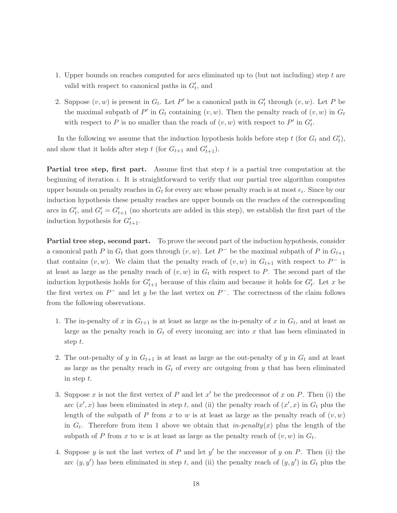- 1. Upper bounds on reaches computed for arcs eliminated up to (but not including) step  $t$  are valid with respect to canonical paths in  $G'_{t}$ , and
- 2. Suppose  $(v, w)$  is present in  $G_t$ . Let P' be a canonical path in  $G'_t$  through  $(v, w)$ . Let P be the maximal subpath of  $P'$  in  $G_t$  containing  $(v, w)$ . Then the penalty reach of  $(v, w)$  in  $G_t$ with respect to P is no smaller than the reach of  $(v, w)$  with respect to P' in  $G'_{t}$ .

In the following we assume that the induction hypothesis holds before step  $t$  (for  $G_t$  and  $G'_t$ ), and show that it holds after step  $t$  (for  $G_{t+1}$  and  $G'_{t+1}$ ).

Partial tree step, first part. Assume first that step t is a partial tree computation at the beginning of iteration  $i$ . It is straightforward to verify that our partial tree algorithm computes upper bounds on penalty reaches in  $G_t$  for every arc whose penalty reach is at most  $\epsilon_i$ . Since by our induction hypothesis these penalty reaches are upper bounds on the reaches of the corresponding arcs in  $G'_t$ , and  $G'_t = G'_{t+1}$  (no shortcuts are added in this step), we establish the first part of the induction hypothesis for  $G'_{t+1}$ .

**Partial tree step, second part.** To prove the second part of the induction hypothesis, consider a canonical path P in  $G_t$  that goes through  $(v, w)$ . Let P<sup>-</sup> be the maximal subpath of P in  $G_{t+1}$ that contains  $(v, w)$ . We claim that the penalty reach of  $(v, w)$  in  $G_{t+1}$  with respect to  $P^-$  is at least as large as the penalty reach of  $(v, w)$  in  $G_t$  with respect to P. The second part of the induction hypothesis holds for  $G'_{t+1}$  because of this claim and because it holds for  $G'_{t}$ . Let x be the first vertex on  $P^-$  and let y be the last vertex on  $P^-$ . The correctness of the claim follows from the following observations.

- 1. The in-penalty of x in  $G_{t+1}$  is at least as large as the in-penalty of x in  $G_t$ , and at least as large as the penalty reach in  $G_t$  of every incoming arc into x that has been eliminated in step t.
- 2. The out-penalty of y in  $G_{t+1}$  is at least as large as the out-penalty of y in  $G_t$  and at least as large as the penalty reach in  $G_t$  of every arc outgoing from y that has been eliminated in step t.
- 3. Suppose x is not the first vertex of P and let  $x'$  be the predecessor of x on P. Then (i) the arc  $(x',x)$  has been eliminated in step t, and (ii) the penalty reach of  $(x',x)$  in  $G_t$  plus the length of the subpath of P from x to w is at least as large as the penalty reach of  $(v, w)$ in  $G_t$ . Therefore from item 1 above we obtain that *in-penalty(x)* plus the length of the subpath of P from x to w is at least as large as the penalty reach of  $(v, w)$  in  $G_t$ .
- 4. Suppose y is not the last vertex of  $P$  and let  $y'$  be the successor of  $y$  on  $P$ . Then (i) the arc  $(y, y')$  has been eliminated in step t, and (ii) the penalty reach of  $(y, y')$  in  $G_t$  plus the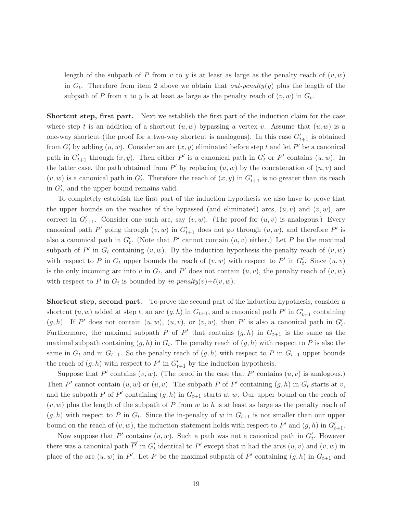length of the subpath of P from v to y is at least as large as the penalty reach of  $(v, w)$ in  $G_t$ . Therefore from item 2 above we obtain that *out-penalty(y)* plus the length of the subpath of P from v to y is at least as large as the penalty reach of  $(v, w)$  in  $G_t$ .

Shortcut step, first part. Next we establish the first part of the induction claim for the case where step t is an addition of a shortcut  $(u, w)$  bypassing a vertex v. Assume that  $(u, w)$  is a one-way shortcut (the proof for a two-way shortcut is analogous). In this case  $G'_{t+1}$  is obtained from  $G'_{t}$  by adding  $(u, w)$ . Consider an arc  $(x, y)$  eliminated before step t and let P' be a canonical path in  $G'_{t+1}$  through  $(x, y)$ . Then either P' is a canonical path in  $G'_{t}$  or P' contains  $(u, w)$ . In the latter case, the path obtained from  $P'$  by replacing  $(u, w)$  by the concatenation of  $(u, v)$  and  $(v, w)$  is a canonical path in  $G'_{t}$ . Therefore the reach of  $(x, y)$  in  $G'_{t+1}$  is no greater than its reach in  $G'_{t}$ , and the upper bound remains valid.

To completely establish the first part of the induction hypothesis we also have to prove that the upper bounds on the reaches of the bypassed (and eliminated) arcs,  $(u, v)$  and  $(v, w)$ , are correct in  $G'_{t+1}$ . Consider one such arc, say  $(v, w)$ . (The proof for  $(u, v)$  is analogous.) Every canonical path  $P'$  going through  $(v, w)$  in  $G'_{t+1}$  does not go through  $(u, w)$ , and therefore  $P'$  is also a canonical path in  $G'_{t}$ . (Note that P' cannot contain  $(u, v)$  either.) Let P be the maximal subpath of P' in  $G_t$  containing  $(v, w)$ . By the induction hypothesis the penalty reach of  $(v, w)$ with respect to P in  $G_t$  upper bounds the reach of  $(v, w)$  with respect to P' in  $G'_t$ . Since  $(u, v)$ is the only incoming arc into v in  $G_t$ , and P' does not contain  $(u, v)$ , the penalty reach of  $(v, w)$ with respect to P in  $G_t$  is bounded by in-penalty $(v)+\ell(v,w)$ .

Shortcut step, second part. To prove the second part of the induction hypothesis, consider a shortcut  $(u, w)$  added at step t, an arc  $(g, h)$  in  $G_{t+1}$ , and a canonical path  $P'$  in  $G'_{t+1}$  containing  $(g, h)$ . If P' does not contain  $(u, w)$ ,  $(u, v)$ , or  $(v, w)$ , then P' is also a canonical path in  $G'_{t}$ . Furthermore, the maximal subpath P of P' that contains  $(g,h)$  in  $G_{t+1}$  is the same as the maximal subpath containing  $(g, h)$  in  $G_t$ . The penalty reach of  $(g, h)$  with respect to P is also the same in  $G_t$  and in  $G_{t+1}$ . So the penalty reach of  $(g, h)$  with respect to P in  $G_{t+1}$  upper bounds the reach of  $(g, h)$  with respect to P' in  $G'_{t+1}$  by the induction hypothesis.

Suppose that P' contains  $(v, w)$ . (The proof in the case that P' contains  $(u, v)$  is analogous.) Then P' cannot contain  $(u, w)$  or  $(u, v)$ . The subpath P of P' containing  $(g, h)$  in  $G_t$  starts at v, and the subpath P of P' containing  $(g, h)$  in  $G_{t+1}$  starts at w. Our upper bound on the reach of  $(v, w)$  plus the length of the subpath of P from w to h is at least as large as the penalty reach of  $(g, h)$  with respect to P in  $G_t$ . Since the in-penalty of w in  $G_{t+1}$  is not smaller than our upper bound on the reach of  $(v, w)$ , the induction statement holds with respect to P' and  $(g, h)$  in  $G'_{t+1}$ .

Now suppose that  $P'$  contains  $(u, w)$ . Such a path was not a canonical path in  $G'_{t}$ . However there was a canonical path  $\overline{P}'$  in  $G'_{t}$  identical to P' except that it had the arcs  $(u, v)$  and  $(v, w)$  in place of the arc  $(u, w)$  in P'. Let P be the maximal subpath of P' containing  $(g, h)$  in  $G_{t+1}$  and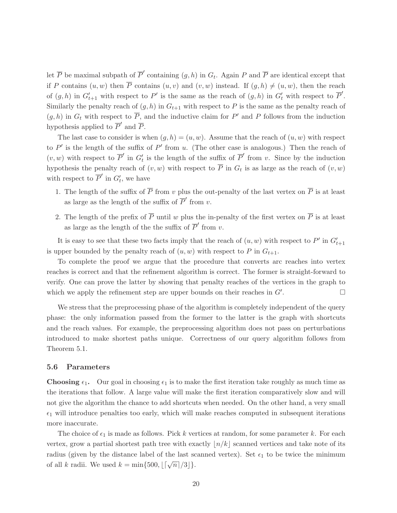let  $\overline{P}$  be maximal subpath of  $\overline{P}'$  containing  $(g,h)$  in  $G_t$ . Again P and  $\overline{P}$  are identical except that if P contains  $(u, w)$  then  $\overline{P}$  contains  $(u, v)$  and  $(v, w)$  instead. If  $(g, h) \neq (u, w)$ , then the reach of  $(g, h)$  in  $G'_{t+1}$  with respect to P' is the same as the reach of  $(g, h)$  in  $G'_{t}$  with respect to  $\overline{P}'$ . Similarly the penalty reach of  $(g, h)$  in  $G_{t+1}$  with respect to P is the same as the penalty reach of  $(g, h)$  in  $G_t$  with respect to  $\overline{P}$ , and the inductive claim for P' and P follows from the induction hypothesis applied to  $\overline{P}'$  and  $\overline{P}$ .

The last case to consider is when  $(q, h) = (u, w)$ . Assume that the reach of  $(u, w)$  with respect to  $P'$  is the length of the suffix of  $P'$  from u. (The other case is analogous.) Then the reach of  $(v, w)$  with respect to  $\overline{P}'$  in  $G'_t$  is the length of the suffix of  $\overline{P}'$  from v. Since by the induction hypothesis the penalty reach of  $(v, w)$  with respect to P in  $G_t$  is as large as the reach of  $(v, w)$ with respect to  $\overline{P}'$  in  $G'_t$ , we have

- 1. The length of the suffix of  $\overline{P}$  from v plus the out-penalty of the last vertex on  $\overline{P}$  is at least as large as the length of the suffix of  $\overline{P}'$  from v.
- 2. The length of the prefix of  $\overline{P}$  until w plus the in-penalty of the first vertex on  $\overline{P}$  is at least as large as the length of the the suffix of  $\overline{P}'$  from v.

It is easy to see that these two facts imply that the reach of  $(u, w)$  with respect to  $P'$  in  $G'_{t+1}$ is upper bounded by the penalty reach of  $(u, w)$  with respect to P in  $G_{t+1}$ .

To complete the proof we argue that the procedure that converts arc reaches into vertex reaches is correct and that the refinement algorithm is correct. The former is straight-forward to verify. One can prove the latter by showing that penalty reaches of the vertices in the graph to which we apply the refinement step are upper bounds on their reaches in  $G'$ . . — Пример, на пример, на пример, на пример, на пример, на пример, на пример, на пример, на пример, на пример,<br>В село на пример, на пример, на пример, на пример, на пример, на пример, на пример, на пример, на пример, на п

We stress that the preprocessing phase of the algorithm is completely independent of the query phase: the only information passed from the former to the latter is the graph with shortcuts and the reach values. For example, the preprocessing algorithm does not pass on perturbations introduced to make shortest paths unique. Correctness of our query algorithm follows from Theorem 5.1.

## 5.6 Parameters

**Choosing**  $\epsilon_1$ **.** Our goal in choosing  $\epsilon_1$  is to make the first iteration take roughly as much time as the iterations that follow. A large value will make the first iteration comparatively slow and will not give the algorithm the chance to add shortcuts when needed. On the other hand, a very small  $\epsilon_1$  will introduce penalties too early, which will make reaches computed in subsequent iterations more inaccurate.

The choice of  $\epsilon_1$  is made as follows. Pick k vertices at random, for some parameter k. For each vertex, grow a partial shortest path tree with exactly  $\lfloor n/k \rfloor$  scanned vertices and take note of its radius (given by the distance label of the last scanned vertex). Set  $\epsilon_1$  to be twice the minimum of all k radii. We used  $k = \min\{500, \lfloor\lceil \sqrt{n} \rceil/3 \rfloor\}.$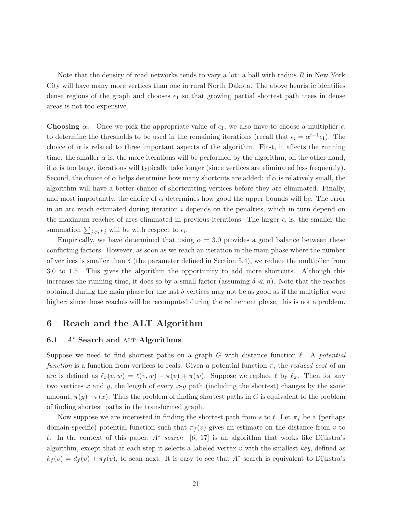Note that the density of road networks tends to vary a lot: a ball with radius  $R$  in New York City will have many more vertices than one in rural North Dakota. The above heuristic identifies dense regions of the graph and chooses  $\epsilon_1$  so that growing partial shortest path trees in dense areas is not too expensive.

**Choosing**  $\alpha$ . Once we pick the appropriate value of  $\epsilon_1$ , we also have to choose a multiplier  $\alpha$ to determine the thresholds to be used in the remaining iterations (recall that  $\epsilon_i = \alpha^{i-1} \epsilon_1$ ). The choice of  $\alpha$  is related to three important aspects of the algorithm. First, it affects the running time: the smaller  $\alpha$  is, the more iterations will be performed by the algorithm; on the other hand, if  $\alpha$  is too large, iterations will typically take longer (since vertices are eliminated less frequently). Second, the choice of  $\alpha$  helps determine how many shortcuts are added: if  $\alpha$  is relatively small, the algorithm will have a better chance of shortcutting vertices before they are eliminated. Finally, and most importantly, the choice of  $\alpha$  determines how good the upper bounds will be. The error in an arc reach estimated during iteration  $i$  depends on the penalties, which in turn depend on the maximum reaches of arcs eliminated in previous iterations. The larger  $\alpha$  is, the smaller the summation  $\sum_{j will be with respect to  $\epsilon_i$ .$ 

Empirically, we have determined that using  $\alpha = 3.0$  provides a good balance between these conflicting factors. However, as soon as we reach an iteration in the main phase where the number of vertices is smaller than  $\delta$  (the parameter defined in Section 5.4), we reduce the multiplier from 3.0 to 1.5. This gives the algorithm the opportunity to add more shortcuts. Although this increases the running time, it does so by a small factor (assuming  $\delta \ll n$ ). Note that the reaches obtained during the main phase for the last  $\delta$  vertices may not be as good as if the multiplier were higher; since those reaches will be recomputed during the refinement phase, this is not a problem.

# 6 Reach and the ALT Algorithm

## 6.1  $A^*$  Search and ALT Algorithms

Suppose we need to find shortest paths on a graph G with distance function  $\ell$ . A potential function is a function from vertices to reals. Given a potential function  $\pi$ , the reduced cost of an arc is defined as  $\ell_{\pi}(v, w) = \ell(v, w) - \pi(v) + \pi(w)$ . Suppose we replace  $\ell$  by  $\ell_{\pi}$ . Then for any two vertices x and y, the length of every  $x-y$  path (including the shortest) changes by the same amount,  $\pi(y)-\pi(x)$ . Thus the problem of finding shortest paths in G is equivalent to the problem of finding shortest paths in the transformed graph.

Now suppose we are interested in finding the shortest path from s to t. Let  $\pi_f$  be a (perhaps domain-specific) potential function such that  $\pi_f(v)$  gives an estimate on the distance from v to t. In the context of this paper,  $A^*$  search [6, 17] is an algorithm that works like Dijkstra's algorithm, except that at each step it selects a labeled vertex  $v$  with the smallest key, defined as  $k_f(v) = d_f(v) + \pi_f(v)$ , to scan next. It is easy to see that  $A^*$  search is equivalent to Dijkstra's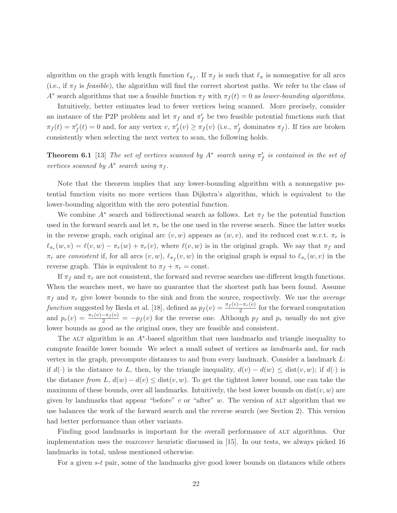algorithm on the graph with length function  $\ell_{\pi_f}$ . If  $\pi_f$  is such that  $\ell_{\pi}$  is nonnegative for all arcs (i.e., if  $\pi_f$  is *feasible*), the algorithm will find the correct shortest paths. We refer to the class of A<sup>\*</sup> search algorithms that use a feasible function  $\pi_f$  with  $\pi_f(t) = 0$  as lower-bounding algorithms.

Intuitively, better estimates lead to fewer vertices being scanned. More precisely, consider an instance of the P2P problem and let  $\pi_f$  and  $\pi'_f$  be two feasible potential functions such that  $\pi_f(t) = \pi'_f(t) = 0$  and, for any vertex  $v, \pi'_f(v) \ge \pi_f(v)$  (i.e.,  $\pi'_f$  dominates  $\pi_f$ ). If ties are broken consistently when selecting the next vertex to scan, the following holds.

**Theorem 6.1** [13] The set of vertices scanned by  $A^*$  search using  $\pi'_f$  is contained in the set of vertices scanned by  $A^*$  search using  $\pi_f$ .

Note that the theorem implies that any lower-bounding algorithm with a nonnegative potential function visits no more vertices than Dijkstra's algorithm, which is equivalent to the lower-bounding algorithm with the zero potential function.

We combine  $A^*$  search and bidirectional search as follows. Let  $\pi_f$  be the potential function used in the forward search and let  $\pi_r$  be the one used in the reverse search. Since the latter works in the reverse graph, each original arc  $(v, w)$  appears as  $(w, v)$ , and its reduced cost w.r.t.  $\pi_r$  is  $\ell_{\pi_r}(w, v) = \ell(v, w) - \pi_r(w) + \pi_r(v)$ , where  $\ell(v, w)$  is in the original graph. We say that  $\pi_f$  and  $\pi_r$  are consistent if, for all arcs  $(v, w)$ ,  $\ell_{\pi_f}(v, w)$  in the original graph is equal to  $\ell_{\pi_r}(w, v)$  in the reverse graph. This is equivalent to  $\pi_f + \pi_r = \text{const.}$ 

If  $\pi_f$  and  $\pi_r$  are not consistent, the forward and reverse searches use different length functions. When the searches meet, we have no guarantee that the shortest path has been found. Assume  $\pi_f$  and  $\pi_r$  give lower bounds to the sink and from the source, respectively. We use the *average* function suggested by Ikeda et al. [18], defined as  $p_f(v) = \frac{\pi_f(v) - \pi_r(v)}{2}$  for the forward computation and  $p_r(v) = \frac{\pi_r(v) - \pi_f(v)}{2} = -p_f(v)$  for the reverse one. Although  $p_f$  and  $p_r$  usually do not give lower bounds as good as the original ones, they are feasible and consistent.

The ALT algorithm is an  $A^*$ -based algorithm that uses landmarks and triangle inequality to compute feasible lower bounds We select a small subset of vertices as *landmarks* and, for each vertex in the graph, precompute distances to and from every landmark. Consider a landmark L: if  $d(\cdot)$  is the distance to L, then, by the triangle inequality,  $d(v) - d(w) \leq \text{dist}(v, w)$ ; if  $d(\cdot)$  is the distance from L,  $d(w) - d(v) \leq \text{dist}(v, w)$ . To get the tightest lower bound, one can take the maximum of these bounds, over all landmarks. Intuitively, the best lower bounds on  $dist(v, w)$  are given by landmarks that appear "before" v or "after"  $w$ . The version of ALT algorithm that we use balances the work of the forward search and the reverse search (see Section 2). This version had better performance than other variants.

Finding good landmarks is important for the overall performance of ALT algorithms. Our implementation uses the maxcover heuristic discussed in [15]. In our tests, we always picked 16 landmarks in total, unless mentioned otherwise.

For a given s-t pair, some of the landmarks give good lower bounds on distances while others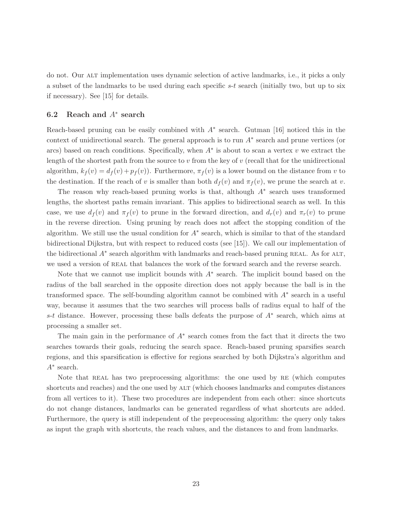do not. Our alt implementation uses dynamic selection of active landmarks, i.e., it picks a only a subset of the landmarks to be used during each specific  $s-t$  search (initially two, but up to six if necessary). See [15] for details.

# 6.2 Reach and  $A^*$  search

Reach-based pruning can be easily combined with  $A^*$  search. Gutman [16] noticed this in the context of unidirectional search. The general approach is to run  $A^*$  search and prune vertices (or arcs) based on reach conditions. Specifically, when  $A^*$  is about to scan a vertex v we extract the length of the shortest path from the source to  $v$  from the key of  $v$  (recall that for the unidirectional algorithm,  $k_f(v) = d_f(v) + p_f(v)$ . Furthermore,  $\pi_f(v)$  is a lower bound on the distance from v to the destination. If the reach of v is smaller than both  $d_f(v)$  and  $\pi_f(v)$ , we prune the search at v.

The reason why reach-based pruning works is that, although  $A^*$  search uses transformed lengths, the shortest paths remain invariant. This applies to bidirectional search as well. In this case, we use  $d_f(v)$  and  $\pi_f(v)$  to prune in the forward direction, and  $d_r(v)$  and  $\pi_r(v)$  to prune in the reverse direction. Using pruning by reach does not affect the stopping condition of the algorithm. We still use the usual condition for  $A^*$  search, which is similar to that of the standard bidirectional Dijkstra, but with respect to reduced costs (see [15]). We call our implementation of the bidirectional  $A^*$  search algorithm with landmarks and reach-based pruning REAL. As for ALT, we used a version of real that balances the work of the forward search and the reverse search.

Note that we cannot use implicit bounds with  $A^*$  search. The implicit bound based on the radius of the ball searched in the opposite direction does not apply because the ball is in the transformed space. The self-bounding algorithm cannot be combined with A<sup>∗</sup> search in a useful way, because it assumes that the two searches will process balls of radius equal to half of the s-t distance. However, processing these balls defeats the purpose of A<sup>∗</sup> search, which aims at processing a smaller set.

The main gain in the performance of  $A^*$  search comes from the fact that it directs the two searches towards their goals, reducing the search space. Reach-based pruning sparsifies search regions, and this sparsification is effective for regions searched by both Dijkstra's algorithm and A∗ search.

Note that REAL has two preprocessing algorithms: the one used by RE (which computes shortcuts and reaches) and the one used by ALT (which chooses landmarks and computes distances from all vertices to it). These two procedures are independent from each other: since shortcuts do not change distances, landmarks can be generated regardless of what shortcuts are added. Furthermore, the query is still independent of the preprocessing algorithm: the query only takes as input the graph with shortcuts, the reach values, and the distances to and from landmarks.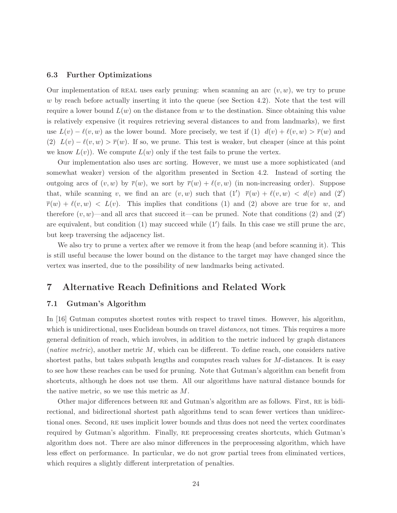## 6.3 Further Optimizations

Our implementation of REAL uses early pruning: when scanning an arc  $(v, w)$ , we try to prune w by reach before actually inserting it into the queue (see Section 4.2). Note that the test will require a lower bound  $L(w)$  on the distance from w to the destination. Since obtaining this value is relatively expensive (it requires retrieving several distances to and from landmarks), we first use  $L(v) - \ell(v, w)$  as the lower bound. More precisely, we test if (1)  $d(v) + \ell(v, w) > \overline{r}(w)$  and (2)  $L(v) - \ell(v, w) > \overline{r}(w)$ . If so, we prune. This test is weaker, but cheaper (since at this point we know  $L(v)$ . We compute  $L(w)$  only if the test fails to prune the vertex.

Our implementation also uses arc sorting. However, we must use a more sophisticated (and somewhat weaker) version of the algorithm presented in Section 4.2. Instead of sorting the outgoing arcs of  $(v, w)$  by  $\overline{r}(w)$ , we sort by  $\overline{r}(w) + \ell(v, w)$  (in non-increasing order). Suppose that, while scanning v, we find an arc  $(v, w)$  such that  $(1') \bar{r}(w) + \ell(v, w) < d(v)$  and  $(2')$  $\overline{r}(w) + \ell(v, w) < L(v)$ . This implies that conditions (1) and (2) above are true for w, and therefore  $(v, w)$ —and all arcs that succeed it—can be pruned. Note that conditions (2) and (2') are equivalent, but condition (1) may succeed while (1′ ) fails. In this case we still prune the arc, but keep traversing the adjacency list.

We also try to prune a vertex after we remove it from the heap (and before scanning it). This is still useful because the lower bound on the distance to the target may have changed since the vertex was inserted, due to the possibility of new landmarks being activated.

# 7 Alternative Reach Definitions and Related Work

## 7.1 Gutman's Algorithm

In [16] Gutman computes shortest routes with respect to travel times. However, his algorithm, which is unidirectional, uses Euclidean bounds on travel *distances*, not times. This requires a more general definition of reach, which involves, in addition to the metric induced by graph distances (*native metric*), another metric  $M$ , which can be different. To define reach, one considers native shortest paths, but takes subpath lengths and computes reach values for M-distances. It is easy to see how these reaches can be used for pruning. Note that Gutman's algorithm can benefit from shortcuts, although he does not use them. All our algorithms have natural distance bounds for the native metric, so we use this metric as M.

Other major differences between re and Gutman's algorithm are as follows. First, re is bidirectional, and bidirectional shortest path algorithms tend to scan fewer vertices than unidirectional ones. Second, RE uses implicit lower bounds and thus does not need the vertex coordinates required by Gutman's algorithm. Finally, re preprocessing creates shortcuts, which Gutman's algorithm does not. There are also minor differences in the preprocessing algorithm, which have less effect on performance. In particular, we do not grow partial trees from eliminated vertices, which requires a slightly different interpretation of penalties.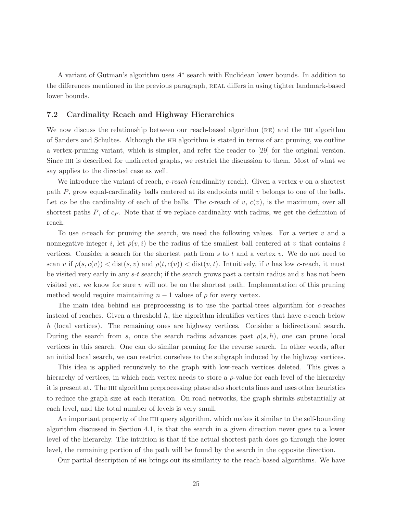A variant of Gutman's algorithm uses  $A^*$  search with Euclidean lower bounds. In addition to the differences mentioned in the previous paragraph, real differs in using tighter landmark-based lower bounds.

## 7.2 Cardinality Reach and Highway Hierarchies

We now discuss the relationship between our reach-based algorithm (RE) and the HH algorithm of Sanders and Schultes. Although the hh algorithm is stated in terms of arc pruning, we outline a vertex-pruning variant, which is simpler, and refer the reader to [29] for the original version. Since hh is described for undirected graphs, we restrict the discussion to them. Most of what we say applies to the directed case as well.

We introduce the variant of reach,  $c$ -reach (cardinality reach). Given a vertex  $v$  on a shortest path  $P$ , grow equal-cardinality balls centered at its endpoints until  $v$  belongs to one of the balls. Let  $c_P$  be the cardinality of each of the balls. The c-reach of v,  $c(v)$ , is the maximum, over all shortest paths  $P$ , of  $c_P$ . Note that if we replace cardinality with radius, we get the definition of reach.

To use c-reach for pruning the search, we need the following values. For a vertex  $v$  and a nonnegative integer i, let  $\rho(v, i)$  be the radius of the smallest ball centered at v that contains i vertices. Consider a search for the shortest path from  $s$  to  $t$  and a vertex  $v$ . We do not need to scan v if  $\rho(s, c(v)) < \text{dist}(s, v)$  and  $\rho(t, c(v)) < \text{dist}(v, t)$ . Intuitively, if v has low c-reach, it must be visited very early in any  $s-t$  search; if the search grows past a certain radius and  $v$  has not been visited yet, we know for sure  $v$  will not be on the shortest path. Implementation of this pruning method would require maintaining  $n-1$  values of  $\rho$  for every vertex.

The main idea behind HH preprocessing is to use the partial-trees algorithm for c-reaches instead of reaches. Given a threshold  $h$ , the algorithm identifies vertices that have c-reach below h (local vertices). The remaining ones are highway vertices. Consider a bidirectional search. During the search from s, once the search radius advances past  $\rho(s, h)$ , one can prune local vertices in this search. One can do similar pruning for the reverse search. In other words, after an initial local search, we can restrict ourselves to the subgraph induced by the highway vertices.

This idea is applied recursively to the graph with low-reach vertices deleted. This gives a hierarchy of vertices, in which each vertex needs to store a  $\rho$ -value for each level of the hierarchy it is present at. The hh algorithm preprocessing phase also shortcuts lines and uses other heuristics to reduce the graph size at each iteration. On road networks, the graph shrinks substantially at each level, and the total number of levels is very small.

An important property of the hh query algorithm, which makes it similar to the self-bounding algorithm discussed in Section 4.1, is that the search in a given direction never goes to a lower level of the hierarchy. The intuition is that if the actual shortest path does go through the lower level, the remaining portion of the path will be found by the search in the opposite direction.

Our partial description of hh brings out its similarity to the reach-based algorithms. We have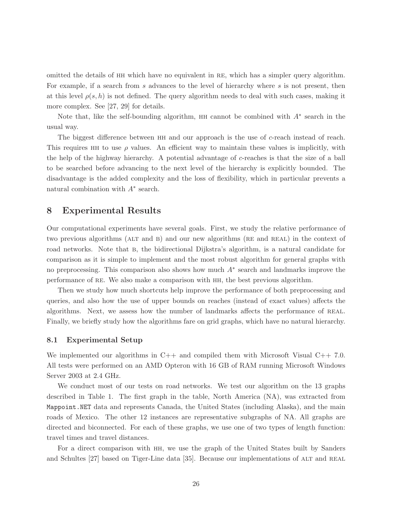omitted the details of hh which have no equivalent in re, which has a simpler query algorithm. For example, if a search from s advances to the level of hierarchy where s is not present, then at this level  $\rho(s, h)$  is not defined. The query algorithm needs to deal with such cases, making it more complex. See [27, 29] for details.

Note that, like the self-bounding algorithm,  $HH$  cannot be combined with  $A^*$  search in the usual way.

The biggest difference between HH and our approach is the use of c-reach instead of reach. This requires HH to use  $\rho$  values. An efficient way to maintain these values is implicitly, with the help of the highway hierarchy. A potential advantage of c-reaches is that the size of a ball to be searched before advancing to the next level of the hierarchy is explicitly bounded. The disadvantage is the added complexity and the loss of flexibility, which in particular prevents a natural combination with  $A^*$  search.

## 8 Experimental Results

Our computational experiments have several goals. First, we study the relative performance of two previous algorithms (ALT and B) and our new algorithms (RE and REAL) in the context of road networks. Note that B, the bidirectional Dijkstra's algorithm, is a natural candidate for comparison as it is simple to implement and the most robust algorithm for general graphs with no preprocessing. This comparison also shows how much  $A^*$  search and landmarks improve the performance of re. We also make a comparison with hh, the best previous algorithm.

Then we study how much shortcuts help improve the performance of both preprocessing and queries, and also how the use of upper bounds on reaches (instead of exact values) affects the algorithms. Next, we assess how the number of landmarks affects the performance of real. Finally, we briefly study how the algorithms fare on grid graphs, which have no natural hierarchy.

## 8.1 Experimental Setup

We implemented our algorithms in  $C++$  and compiled them with Microsoft Visual  $C++$  7.0. All tests were performed on an AMD Opteron with 16 GB of RAM running Microsoft Windows Server 2003 at 2.4 GHz.

We conduct most of our tests on road networks. We test our algorithm on the 13 graphs described in Table 1. The first graph in the table, North America (NA), was extracted from Mappoint.NET data and represents Canada, the United States (including Alaska), and the main roads of Mexico. The other 12 instances are representative subgraphs of NA. All graphs are directed and biconnected. For each of these graphs, we use one of two types of length function: travel times and travel distances.

For a direct comparison with hh, we use the graph of the United States built by Sanders and Schultes [27] based on Tiger-Line data [35]. Because our implementations of ALT and REAL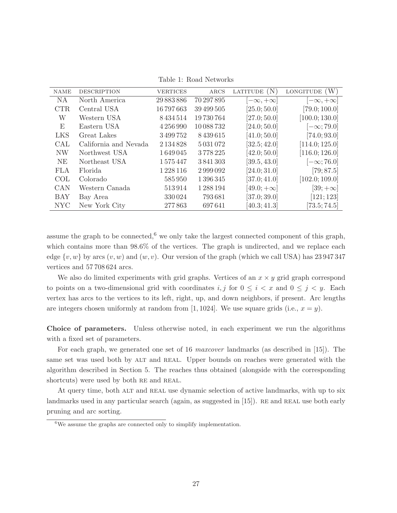| <b>NAME</b> | <b>DESCRIPTION</b>    | <b>VERTICES</b> | ARCS          | LATITUDE (N)       | LONGITUDE $(W)$    |
|-------------|-----------------------|-----------------|---------------|--------------------|--------------------|
| <b>NA</b>   | North America         | 29 883 886      | 70 297 895    | $-\infty, +\infty$ | $-\infty, +\infty$ |
| <b>CTR</b>  | Central USA           | 16797663        | 39 499 505    | [25.0; 50.0]       | [79.0; 100.0]      |
| W           | Western USA           | 8434514         | 19730764      | [27.0; 50.0]       | [100.0; 130.0]     |
| E           | Eastern USA           | 4 256 990       | 10 088 732    | [24.0; 50.0]       | $[-\infty; 79.0]$  |
| <b>LKS</b>  | Great Lakes           | 3499752         | 8439615       | [41.0; 50.0]       | [74.0; 93.0]       |
| <b>CAL</b>  | California and Nevada | 2 1 3 4 8 2 8   | 5 0 3 1 0 7 2 | [32.5; 42.0]       | [114.0; 125.0]     |
| <b>NW</b>   | Northwest USA         | 1649045         | 3778225       | [42.0; 50.0]       | [116.0; 126.0]     |
| NE          | Northeast USA         | 1575447         | 3841303       | [39.5, 43.0]       | $[-\infty; 76.0]$  |
| <b>FLA</b>  | Florida               | 1 2 2 3 1 1 6   | 2999092       | [24.0; 31.0]       | [79; 87.5]         |
| COL.        | Colorado              | 585950          | 1 396 345     | [37.0; 41.0]       | [102.0; 109.0]     |
| CAN         | Western Canada        | 513914          | 1 288 194     | $[49.0; +\infty]$  | $[39; +\infty]$    |
| <b>BAY</b>  | Bay Area              | 330024          | 793681        | [37.0; 39.0]       | [121; 123]         |
| <b>NYC</b>  | New York City         | 277863          | 697641        | [40.3; 41.3]       | [73.5; 74.5]       |

Table 1: Road Networks

assume the graph to be connected,<sup>6</sup> we only take the largest connected component of this graph, which contains more than  $98.6\%$  of the vertices. The graph is undirected, and we replace each edge  $\{v, w\}$  by arcs  $(v, w)$  and  $(w, v)$ . Our version of the graph (which we call USA) has 23 947 347 vertices and 57 708 624 arcs.

We also do limited experiments with grid graphs. Vertices of an  $x \times y$  grid graph correspond to points on a two-dimensional grid with coordinates  $i, j$  for  $0 \leq i < x$  and  $0 \leq j < y$ . Each vertex has arcs to the vertices to its left, right, up, and down neighbors, if present. Arc lengths are integers chosen uniformly at random from [1, 1024]. We use square grids (i.e.,  $x = y$ ).

Choice of parameters. Unless otherwise noted, in each experiment we run the algorithms with a fixed set of parameters.

For each graph, we generated one set of 16 maxcover landmarks (as described in [15]). The same set was used both by ALT and REAL. Upper bounds on reaches were generated with the algorithm described in Section 5. The reaches thus obtained (alongside with the corresponding shortcuts) were used by both RE and REAL.

At query time, both ALT and REAL use dynamic selection of active landmarks, with up to six landmarks used in any particular search (again, as suggested in  $|15|$ ). RE and REAL use both early pruning and arc sorting.

 $6$ We assume the graphs are connected only to simplify implementation.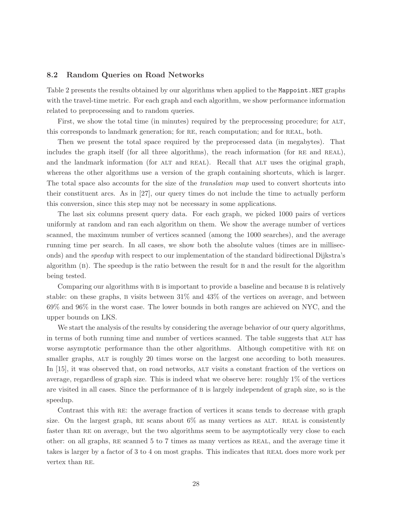## 8.2 Random Queries on Road Networks

Table 2 presents the results obtained by our algorithms when applied to the Mappoint.NET graphs with the travel-time metric. For each graph and each algorithm, we show performance information related to preprocessing and to random queries.

First, we show the total time (in minutes) required by the preprocessing procedure; for ALT, this corresponds to landmark generation; for RE, reach computation; and for REAL, both.

Then we present the total space required by the preprocessed data (in megabytes). That includes the graph itself (for all three algorithms), the reach information (for RE and REAL), and the landmark information (for ALT and REAL). Recall that ALT uses the original graph, whereas the other algorithms use a version of the graph containing shortcuts, which is larger. The total space also accounts for the size of the *translation map* used to convert shortcuts into their constituent arcs. As in [27], our query times do not include the time to actually perform this conversion, since this step may not be necessary in some applications.

The last six columns present query data. For each graph, we picked 1000 pairs of vertices uniformly at random and ran each algorithm on them. We show the average number of vertices scanned, the maximum number of vertices scanned (among the 1000 searches), and the average running time per search. In all cases, we show both the absolute values (times are in milliseconds) and the speedup with respect to our implementation of the standard bidirectional Dijkstra's algorithm (b). The speedup is the ratio between the result for b and the result for the algorithm being tested.

Comparing our algorithms with B is important to provide a baseline and because B is relatively stable: on these graphs, B visits between  $31\%$  and  $43\%$  of the vertices on average, and between 69% and 96% in the worst case. The lower bounds in both ranges are achieved on NYC, and the upper bounds on LKS.

We start the analysis of the results by considering the average behavior of our query algorithms, in terms of both running time and number of vertices scanned. The table suggests that ALT has worse asymptotic performance than the other algorithms. Although competitive with re on smaller graphs, ALT is roughly 20 times worse on the largest one according to both measures. In [15], it was observed that, on road networks, ALT visits a constant fraction of the vertices on average, regardless of graph size. This is indeed what we observe here: roughly 1% of the vertices are visited in all cases. Since the performance of B is largely independent of graph size, so is the speedup.

Contrast this with RE: the average fraction of vertices it scans tends to decrease with graph size. On the largest graph, RE scans about  $6\%$  as many vertices as ALT. REAL is consistently faster than RE on average, but the two algorithms seem to be asymptotically very close to each other: on all graphs, RE scanned 5 to 7 times as many vertices as REAL, and the average time it takes is larger by a factor of 3 to 4 on most graphs. This indicates that REAL does more work per vertex than RE.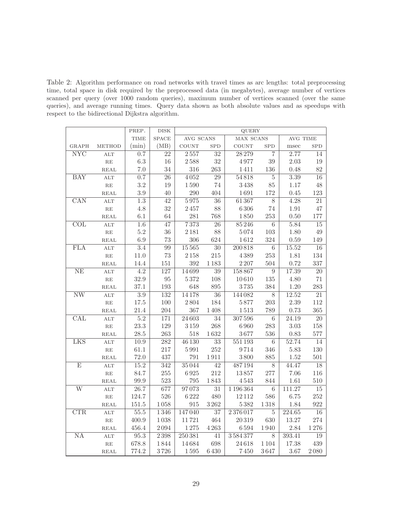Table 2: Algorithm performance on road networks with travel times as arc lengths: total preprocessing time, total space in disk required by the preprocessed data (in megabytes), average number of vertices scanned per query (over 1000 random queries), maximum number of vertices scanned (over the same queries), and average running times. Query data shown as both absolute values and as speedups with respect to the bidirectional Dijkstra algorithm.

|                         |                | PREP.            | DISK             | QUERY              |                 |              |                 |                   |                 |  |
|-------------------------|----------------|------------------|------------------|--------------------|-----------------|--------------|-----------------|-------------------|-----------------|--|
|                         |                | <b>TIME</b>      | SPACE            | AVG SCANS          |                 | MAX SCANS    |                 | AVG TIME          |                 |  |
| <b>GRAPH</b>            | <b>METHOD</b>  | (min)            | (MB)             | $_{\rm COUNT}$     | <b>SPD</b>      | <b>COUNT</b> | <b>SPD</b>      | msec              | <b>SPD</b>      |  |
| $\overline{\text{NYC}}$ | <b>ALT</b>     | 0.7              | 22               | $2\,557$           | 32              | 28 279       | 7               | 2.77              | 14              |  |
|                         | RE             | $6.3\,$          | 16               | $2\,588$           | $32\,$          | 4977         | $39\,$          | 2.03              | 19              |  |
|                         | REAL           | $7.0\,$          | $34\,$           | $316\,$            | 263             | 1411         | 136             | 0.48              | 82              |  |
| BAY                     | <b>ALT</b>     | 0.7              | $\overline{26}$  | 4052               | $\overline{29}$ | 54818        | $\bf 5$         | $\overline{3.39}$ | $\overline{16}$ |  |
|                         | RE             | $3.2\,$          | 19               | $1\,590$           | 74              | 3438         | 85              | 1.17              | 48              |  |
|                         | REAL           | $3.9\,$          | 40               | 290                | 404             | 1691         | 172             | 0.45              | 123             |  |
| $\overline{\text{CAN}}$ | $\mathbf{ALT}$ | $\overline{1.3}$ | $\overline{42}$  | 5975               | $\overline{36}$ | 61367        | $\overline{8}$  | $\overline{4.28}$ | 21              |  |
|                         | $\mathbf{RE}$  | $4.8\,$          | 32               | $2\,457$           | 88              | 6306         | $74\,$          | $1.91\,$          | 47              |  |
|                         | <b>REAL</b>    | 6.1              | 64               | 281                | 768             | 1850         | 253             | 0.50              | 177             |  |
| $\overline{\text{COL}}$ | ALT            | 1.6              | 47               | 7373               | $\overline{26}$ | 85246        | $\,6$           | 5.84              | 15              |  |
|                         | $\mathbf{RE}$  | $5.2\,$          | 36               | $2\,181$           | 88              | 5074         | 103             | 1.80              | 49              |  |
|                         | REAL           | $6.9\,$          | 73               | $306\,$            | 624             | 1612         | 324             | $0.59\,$          | 149             |  |
| <b>FLA</b>              | <b>ALT</b>     | $\overline{3.4}$ | 99               | 15565              | $\overline{30}$ | 200818       | $\,6$           | 15.52             | $\overline{16}$ |  |
|                         | RE             | 11.0             | 73               | $2\,158$           | 215             | 4389         | 253             | 1.81              | 134             |  |
|                         | REAL           | 14.4             | $151\,$          | $392\,$            | $1\,183$        | 2 2 0 7      | 504             | 0.72              | 337             |  |
| $\overline{\text{NE}}$  | $\mathbf{ALT}$ | $\overline{4.2}$ | $\overline{127}$ | 14699              | $\overline{39}$ | 158867       | $\overline{9}$  | 17.39             | $\overline{20}$ |  |
|                         | $\mathbf{RE}$  | 32.9             | 95               | $5\,372$           | 108             | 10610        | $135\,$         | 4.80              | $71\,$          |  |
|                         | <b>REAL</b>    | 37.1             | 193              | 648                | 895             | 3735         | 384             | 1.20              | 283             |  |
| $\overline{\text{NW}}$  | ALT            | $\overline{3.9}$ | 132              | 14178              | $\overline{36}$ | 144082       | 8               | 12.52             | $\overline{21}$ |  |
|                         | $\mathbf{RE}$  | $17.5\,$         | 100              | 2804               | 184             | 5877         | 203             | 2.39              | 112             |  |
|                         | REAL           | 21.4             | $204\,$          | $367\,$            | 1408            | $1\,513$     | 789             | $0.73\,$          | 365             |  |
| $\overline{\text{CAL}}$ | ALT            | $\overline{5.2}$ | 171              | 24603              | $\overline{34}$ | 307596       | $\,6$           | 24.19             | $\overline{20}$ |  |
|                         | RE             | $23.3\,$         | 129              | $3\,159$           | 268             | 6960         | 283             | 3.03              | 158             |  |
|                         | REAL           | $28.5\,$         | $263\,$          | $518\,$            | $1\,632$        | 3677         | 536             | 0.83              | 577             |  |
| LKS                     | $\mathbf{ALT}$ | 10.9             | $\overline{282}$ | 46 130             | $\overline{33}$ | 551193       | $\,6\,$         | 52.74             | $\overline{14}$ |  |
|                         | $\mathbf{RE}$  | $61.1\,$         | $217\,$          | $5\,991$           | 252             | 9714         | 346             | 5.83              | 130             |  |
|                         | <b>REAL</b>    | 72.0             | 437              | 791                | 1911            | 3800         | 885             | 1.52              | 501             |  |
| Е                       | ALT            | 15.2             | $\overline{342}$ | 35044              | $\overline{42}$ | 487194       | $8\,$           | 44.47             | 18              |  |
|                         | $\mathbf{RE}$  | 84.7             | $255\,$          | $6\,925$           | 212             | 13857        | 277             | 7.06              | 116             |  |
|                         | <b>REAL</b>    | $99.9\,$         | 523              | 795                | 1843            | $4\,543$     | 844             | $1.61\,$          | 510             |  |
| $\overline{W}$          | ALT            | 26.7             | 677              | 97073              | $\overline{31}$ | 1196364      | $6\phantom{.}6$ | 111.27            | $\overline{15}$ |  |
|                         | RE             | 124.7            | 526              | $6\,222$           | 480             | $12\,112$    | 586             | 6.75              | 252             |  |
|                         | REAL           | $151.5\,$        | $1\,058$         | $\boldsymbol{915}$ | $3\,262$        | $5\,382$     | $1\,318$        | 1.84              | 922             |  |
| $\overline{\text{CTR}}$ | ALT            | 55.5             | 1346             | 147040             | $\overline{37}$ | 2376017      | $\bf 5$         | 224.65            | $\overline{16}$ |  |
|                         | $\mathbf{RE}$  | 400.9            | 1038             | 11721              | 464             | 20319        | 630             | 13.27             | 274             |  |
|                         | REAL           | 456.4            | $2\,094$         | $1\,275$           | 4263            | 6594         | 1940            | 2.84              | 1276            |  |
| $\overline{\text{NA}}$  | ALT            | 95.3             | 2398             | 250381             | $41$            | 3584377      | 8               | 393.41            | 19              |  |
|                         | $\mathbf{RE}$  | 678.8            | 1844             | 14684              | 698             | 24618        | $1\,104$        | 17.38             | 439             |  |
|                         | REAL           | 774.2            | 3726             | 1595               | 6430            | 7450         | 3647            | 3.67              | $2\,080$        |  |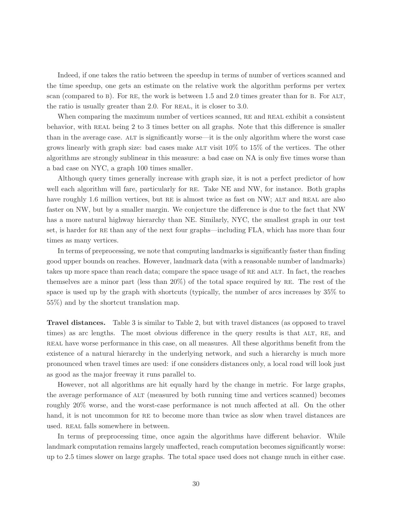Indeed, if one takes the ratio between the speedup in terms of number of vertices scanned and the time speedup, one gets an estimate on the relative work the algorithm performs per vertex scan (compared to B). For RE, the work is between  $1.5$  and  $2.0$  times greater than for B. For ALT, the ratio is usually greater than 2.0. For REAL, it is closer to 3.0.

When comparing the maximum number of vertices scanned, RE and REAL exhibit a consistent behavior, with REAL being 2 to 3 times better on all graphs. Note that this difference is smaller than in the average case. alt is significantly worse—it is the only algorithm where the worst case grows linearly with graph size: bad cases make ALT visit  $10\%$  to  $15\%$  of the vertices. The other algorithms are strongly sublinear in this measure: a bad case on NA is only five times worse than a bad case on NYC, a graph 100 times smaller.

Although query times generally increase with graph size, it is not a perfect predictor of how well each algorithm will fare, particularly for RE. Take NE and NW, for instance. Both graphs have roughly 1.6 million vertices, but RE is almost twice as fast on NW; ALT and REAL are also faster on NW, but by a smaller margin. We conjecture the difference is due to the fact that NW has a more natural highway hierarchy than NE. Similarly, NYC, the smallest graph in our test set, is harder for RE than any of the next four graphs—including FLA, which has more than four times as many vertices.

In terms of preprocessing, we note that computing landmarks is significantly faster than finding good upper bounds on reaches. However, landmark data (with a reasonable number of landmarks) takes up more space than reach data; compare the space usage of RE and ALT. In fact, the reaches themselves are a minor part (less than  $20\%$ ) of the total space required by RE. The rest of the space is used up by the graph with shortcuts (typically, the number of arcs increases by 35% to 55%) and by the shortcut translation map.

Travel distances. Table 3 is similar to Table 2, but with travel distances (as opposed to travel times) as arc lengths. The most obvious difference in the query results is that ALT, RE, and real have worse performance in this case, on all measures. All these algorithms benefit from the existence of a natural hierarchy in the underlying network, and such a hierarchy is much more pronounced when travel times are used: if one considers distances only, a local road will look just as good as the major freeway it runs parallel to.

However, not all algorithms are hit equally hard by the change in metric. For large graphs, the average performance of alt (measured by both running time and vertices scanned) becomes roughly 20% worse, and the worst-case performance is not much affected at all. On the other hand, it is not uncommon for RE to become more than twice as slow when travel distances are used. REAL falls somewhere in between.

In terms of preprocessing time, once again the algorithms have different behavior. While landmark computation remains largely unaffected, reach computation becomes significantly worse: up to 2.5 times slower on large graphs. The total space used does not change much in either case.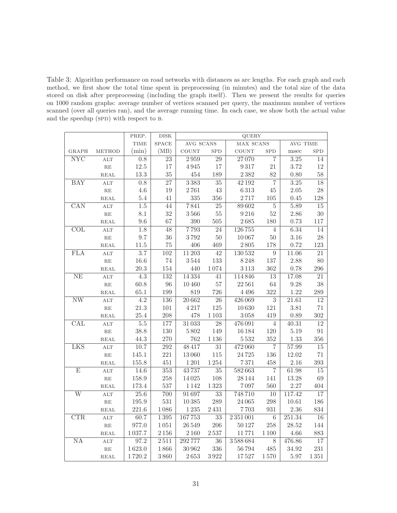Table 3: Algorithm performance on road networks with distances as arc lengths. For each graph and each method, we first show the total time spent in preprocessing (in minutes) and the total size of the data stored on disk after preprocessing (including the graph itself). Then we present the results for queries on 1000 random graphs: average number of vertices scanned per query, the maximum number of vertices scanned (over all queries ran), and the average running time. In each case, we show both the actual value and the speedup (SPD) with respect to B.

|                         |                         | PREP.            | $_{\rm DISK}$    | QUERY        |                 |              |                 |          |                 |  |
|-------------------------|-------------------------|------------------|------------------|--------------|-----------------|--------------|-----------------|----------|-----------------|--|
|                         |                         | <b>TIME</b>      | <b>SPACE</b>     | AVG SCANS    |                 | MAX SCANS    |                 | AVG TIME |                 |  |
| <b>GRAPH</b>            | <b>METHOD</b>           | (min)            | (MB)             | <b>COUNT</b> | <b>SPD</b>      | <b>COUNT</b> | <b>SPD</b>      | msec     | <b>SPD</b>      |  |
| NYC                     | <b>ALT</b>              | $0.8\,$          | 23               | 2959         | $\overline{29}$ | 27070        | $\overline{7}$  | 3.25     | 14              |  |
|                         | $\mathbf{RE}$           | $12.5\,$         | 17               | $4\,945$     | 17              | 9317         | 21              | 3.72     | $12\,$          |  |
|                         | REAL                    | $13.3\,$         | 35               | 454          | 189             | 2382         | 82              | $0.80\,$ | 58              |  |
| <b>BAY</b>              | ALT                     | 0.8              | $\overline{27}$  | 3383         | 35              | 42 192       | $\overline{7}$  | $3.25\,$ | 18              |  |
|                         | $\mathbf{RE}$           | 4.6              | 19               | 2761         | $43\,$          | 6313         | 45              | $2.05\,$ | 28              |  |
|                         | $\operatorname{REAL}$   | $5.4\,$          | 41               | 335          | 356             | $2\,717$     | 105             | 0.45     | 128             |  |
| $\overline{\text{CAN}}$ | $\mathop{\mathrm{ALT}}$ | $\overline{1.5}$ | $\overline{44}$  | 7841         | $\overline{25}$ | 89602        | $\overline{5}$  | 5.89     | $\overline{15}$ |  |
|                         | $\mathbf{RE}$           | $8.1\,$          | 32               | $3\,566$     | $55\,$          | 9216         | $52\,$          | 2.86     | $30\,$          |  |
|                         | REAL                    | $9.6\,$          | 67               | $390\,$      | $505\,$         | $2\,685$     | 180             | 0.73     | $117\,$         |  |
| $\overline{\text{COL}}$ | ALT                     | 1.8              | 48               | 7793         | $\overline{24}$ | 126755       | $\overline{4}$  | 6.34     | $\overline{14}$ |  |
|                         | $\mathbf{RE}$           | $9.7\,$          | 36               | 3792         | $50\,$          | 10067        | $50\,$          | 3.16     | 28              |  |
|                         | $\operatorname{REAL}$   | 11.5             | 75               | 406          | 469             | $2\,805$     | 178             | 0.72     | 123             |  |
| <b>FLA</b>              | <b>ALT</b>              | $\overline{3.7}$ | $\overline{102}$ | 11 20 3      | $\overline{42}$ | 130532       | $\overline{9}$  | 11.06    | $\overline{21}$ |  |
|                         | $\mathbf{RE}$           | 16.6             | 74               | 3544         | 133             | 8248         | 137             | 2.88     | 80              |  |
|                         | REAL                    | 20.3             | 154              | 440          | 1074            | $3\,113$     | 362             | 0.78     | $\,296$         |  |
| $\rm NE$                | $\mathop{\mathrm{ALT}}$ | $\overline{4.3}$ | 132              | 14334        | $\overline{41}$ | 114846       | $\overline{13}$ | 17.08    | $\overline{21}$ |  |
|                         | $\mathbf{RE}$           | 60.8             | 96               | 10460        | $57\,$          | 22561        | $64\,$          | 9.28     | 38              |  |
|                         | REAL                    | $65.1\,$         | 199              | 819          | 726             | 4496         | 322             | 1.22     | 289             |  |
| $\overline{\text{NW}}$  | ALT                     | $\overline{4.2}$ | 136              | 20662        | $\overline{26}$ | 426069       | $\overline{3}$  | 21.61    | $\overline{12}$ |  |
|                         | $\mathbf{RE}$           | $21.3\,$         | 101              | 4217         | $125\,$         | 10630        | 121             | 3.81     | $71\,$          |  |
|                         | REAL                    | 25.4             | 208              | 478          | $1\,103$        | $3\,058$     | 419             | 0.89     | $302\,$         |  |
| $\operatorname{CAL}$    | ALT                     | $5.5\,$          | 177              | 31033        | 28              | 476091       | $\overline{4}$  | 40.31    | $\overline{12}$ |  |
|                         | RE                      | 38.8             | 130              | $5\,802$     | 149             | 16184        | 120             | 5.19     | $\rm 91$        |  |
|                         | REAL                    | 44.3             | 270              | 762          | $1\,136$        | 5532         | 352             | 1.33     | $356\,$         |  |
| <b>LKS</b>              | ALT                     | 10.7             | 292              | 48417        | 31              | 472060       | $\overline{7}$  | 57.99    | $\overline{15}$ |  |
|                         | $\mathbf{RE}$           | $145.1\,$        | 221              | 13060        | $115\,$         | 24725        | 136             | 12.02    | $71\,$          |  |
|                         | REAL                    | $155.8\,$        | 451              | $1\,201$     | 1254            | $7\,371$     | 458             | 2.16     | $393\,$         |  |
| $\overline{E}$          | ALT                     | 14.6             | $\overline{353}$ | 43737        | $\overline{35}$ | 582663       | $\overline{7}$  | 61.98    | 15              |  |
|                         | RE                      | 158.9            | 258              | 14025        | 108             | 28144        | 141             | 13.28    | 69              |  |
|                         | <b>REAL</b>             | 173.4            | 537              | 1142         | $1\,323$        | 7097         | 560             | 2.27     | 404             |  |
| $\overline{\text{W}}$   | ALT                     | 25.6             | 700              | 91697        | 33              | 748710       | 10              | 117.42   | $\overline{17}$ |  |
|                         | $\mathbf{RE}$           | 195.9            | 531              | 10385        | 289             | 24065        | 298             | 10.61    | 186             |  |
|                         | REAL                    | 221.6            | $1\,086$         | $1\,235$     | $2\,431$        | $7\,703$     | 931             | $2.36\,$ | $834\,$         |  |
| $\overline{\text{CTR}}$ | $\mathbf{ALT}$          | 60.7             | $1\,395$         | 167753       | $\overline{33}$ | 2351001      | $\,6\,$         | 251.34   | $\overline{16}$ |  |
|                         | RE                      | 977.0            | $1\,051$         | 26 549       | 206             | 50127        | 258             | 28.52    | 144             |  |
|                         | REAL                    | 1037.7           | $2\,156$         | 2160         | 2537            | 11771        | 1100            | 4.66     | 883             |  |
| $\overline{NA}$         | ALT                     | 97.2             | 2511             | 292777       | $\overline{36}$ | 3588684      | $\overline{8}$  | 476.86   | $\overline{17}$ |  |
|                         | $\mathbf{RE}$           | 1623.0           | 1866             | 30 962       | $336\,$         | 56794        | $485\,$         | 34.92    | $231\,$         |  |
|                         | REAL                    | 1720.2           | 3860             | $2\,653$     | $3\,922$        | 17527        | 1570            | 5.97     | $1\,351$        |  |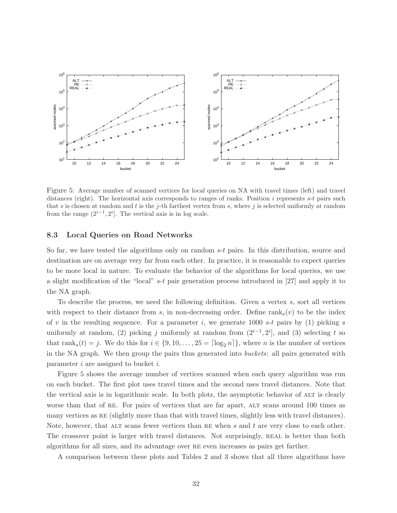

Figure 5: Average number of scanned vertices for local queries on NA with travel times (left) and travel distances (right). The horizontal axis corresponds to ranges of ranks. Position  $i$  represents  $s-t$  pairs such that s is chosen at random and t is the j-th farthest vertex from s, where j is selected uniformly at random from the range  $(2^{i-1}, 2^i]$ . The vertical axis is in log scale.

## 8.3 Local Queries on Road Networks

So far, we have tested the algorithms only on random  $s-t$  pairs. In this distribution, source and destination are on average very far from each other. In practice, it is reasonable to expect queries to be more local in nature. To evaluate the behavior of the algorithms for local queries, we use a slight modification of the "local" s-t pair generation process introduced in [27] and apply it to the NA graph.

To describe the process, we need the following definition. Given a vertex s, sort all vertices with respect to their distance from s, in non-decreasing order. Define  $\text{rank}_s(v)$  to be the index of v in the resulting sequence. For a parameter i, we generate 1000 s-t pairs by  $(1)$  picking s uniformly at random, (2) picking j uniformly at random from  $(2^{i-1}, 2^i]$ , and (3) selecting t so that rank<sub>s</sub> $(t) = j$ . We do this for  $i \in \{9, 10, \ldots, 25 = \lceil \log_2 n \rceil\}$ , where *n* is the number of vertices in the NA graph. We then group the pairs thus generated into buckets: all pairs generated with parameter  $i$  are assigned to bucket  $i$ .

Figure 5 shows the average number of vertices scanned when each query algorithm was run on each bucket. The first plot uses travel times and the second uses travel distances. Note that the vertical axis is in logarithmic scale. In both plots, the asymptotic behavior of ALT is clearly worse than that of RE. For pairs of vertices that are far apart, ALT scans around 100 times as many vertices as re (slightly more than that with travel times, slightly less with travel distances). Note, however, that ALT scans fewer vertices than RE when  $s$  and  $t$  are very close to each other. The crossover point is larger with travel distances. Not surprisingly, REAL is better than both algorithms for all sizes, and its advantage over re even increases as pairs get farther.

A comparison between these plots and Tables 2 and 3 shows that all three algorithms have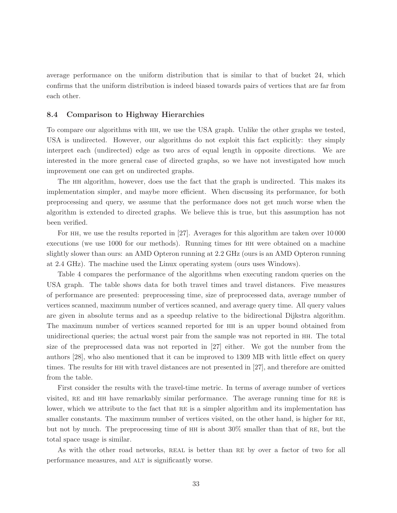average performance on the uniform distribution that is similar to that of bucket 24, which confirms that the uniform distribution is indeed biased towards pairs of vertices that are far from each other.

## 8.4 Comparison to Highway Hierarchies

To compare our algorithms with hh, we use the USA graph. Unlike the other graphs we tested, USA is undirected. However, our algorithms do not exploit this fact explicitly: they simply interpret each (undirected) edge as two arcs of equal length in opposite directions. We are interested in the more general case of directed graphs, so we have not investigated how much improvement one can get on undirected graphs.

The hh algorithm, however, does use the fact that the graph is undirected. This makes its implementation simpler, and maybe more efficient. When discussing its performance, for both preprocessing and query, we assume that the performance does not get much worse when the algorithm is extended to directed graphs. We believe this is true, but this assumption has not been verified.

For hh, we use the results reported in [27]. Averages for this algorithm are taken over 10 000 executions (we use 1000 for our methods). Running times for HH were obtained on a machine slightly slower than ours: an AMD Opteron running at 2.2 GHz (ours is an AMD Opteron running at 2.4 GHz). The machine used the Linux operating system (ours uses Windows).

Table 4 compares the performance of the algorithms when executing random queries on the USA graph. The table shows data for both travel times and travel distances. Five measures of performance are presented: preprocessing time, size of preprocessed data, average number of vertices scanned, maximum number of vertices scanned, and average query time. All query values are given in absolute terms and as a speedup relative to the bidirectional Dijkstra algorithm. The maximum number of vertices scanned reported for hh is an upper bound obtained from unidirectional queries; the actual worst pair from the sample was not reported in hh. The total size of the preprocessed data was not reported in [27] either. We got the number from the authors [28], who also mentioned that it can be improved to 1309 MB with little effect on query times. The results for hh with travel distances are not presented in [27], and therefore are omitted from the table.

First consider the results with the travel-time metric. In terms of average number of vertices visited, re and hh have remarkably similar performance. The average running time for re is lower, which we attribute to the fact that RE is a simpler algorithm and its implementation has smaller constants. The maximum number of vertices visited, on the other hand, is higher for RE, but not by much. The preprocessing time of  $HH$  is about 30% smaller than that of RE, but the total space usage is similar.

As with the other road networks, REAL is better than RE by over a factor of two for all performance measures, and ALT is significantly worse.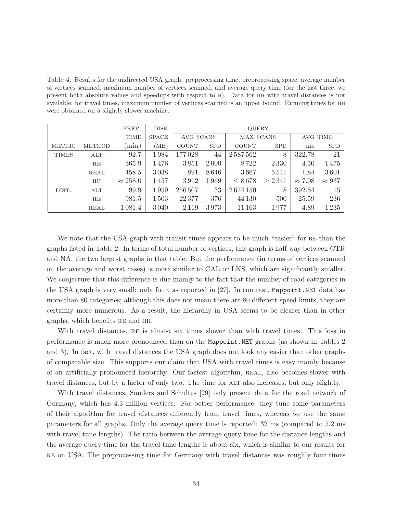Table 4: Results for the undirected USA graph: preprocessing time, preprocessing space, average number of vertices scanned, maximum number of vertices scanned, and average query time (for the last three, we present both absolute values and speedups with respect to b). Data for hh with travel distances is not available; for travel times, maximum number of vertices scanned is an upper bound. Running times for hh were obtained on a slightly slower machine.

|              |               | PREP.           | <b>DISK</b>  | <b>QUERY</b> |            |              |            |                |               |
|--------------|---------------|-----------------|--------------|--------------|------------|--------------|------------|----------------|---------------|
|              |               | <b>TIME</b>     | <b>SPACE</b> | AVG SCANS    |            | MAX SCANS    |            | AVG TIME       |               |
| METRIC       | <b>METHOD</b> | $\text{min}$ )  | (MB)         | <b>COUNT</b> | <b>SPD</b> | <b>COUNT</b> | <b>SPD</b> | ms             | <b>SPD</b>    |
| <b>TIMES</b> | ALT           | 92.7            | 1984         | 177028       | 44         | 2587562      | 8          | 322.78         | 21            |
|              | RE            | 365.9           | 1476         | 3851         | 2000       | 8722         | 2 3 3 0    | 4.50           | 1475          |
|              | REAL          | 458.5           | 3038         | 891          | 8646       | 3667         | 5541       | 1.84           | 3601          |
|              | HH            | $\approx 258.0$ | 1457         | 3912         | 1969       | < 8678       | > 2341     | $\approx 7.08$ | $\approx 937$ |
| DIST.        | ALT           | 99.9            | 1959         | 256 507      | 33         | 2674150      | 8          | 392.84         | 15            |
|              | RE            | 981.5           | 1503         | 22377        | 376        | 44 130       | 500        | 25.59          | 236           |
|              | REAL          | 1 0 8 1 . 4     | 3040         | 2 1 1 9      | 3973       | 11 163       | 1977       | 4.89           | 1235          |

We note that the USA graph with transit times appears to be much "easier" for RE than the graphs listed in Table 2. In terms of total number of vertices, this graph is half-way between CTR and NA, the two largest graphs in that table. But the performance (in terms of vertices scanned on the average and worst cases) is more similar to CAL or LKS, which are significantly smaller. We conjecture that this difference is due mainly to the fact that the number of road categories in the USA graph is very small: only four, as reported in [27]. In contrast, Mappoint.NET data has more than 80 categories; although this does not mean there are 80 different speed limits, they are certainly more numerous. As a result, the hierarchy in USA seems to be clearer than in other graphs, which benefits re and hh.

With travel distances, RE is almost six times slower than with travel times. This loss in performance is much more pronounced than on the Mappoint.NET graphs (as shown in Tables 2 and 3). In fact, with travel distances the USA graph does not look any easier than other graphs of comparable size. This supports our claim that USA with travel times is easy mainly because of an artificially pronounced hierarchy. Our fastest algorithm, real, also becomes slower with travel distances, but by a factor of only two. The time for alt also increases, but only slightly.

With travel distances, Sanders and Schultes [29] only present data for the road network of Germany, which has 4.3 million vertices. For better performance, they tune some parameters of their algorithm for travel distances differently from travel times, whereas we use the same parameters for all graphs. Only the average query time is reported: 32 ms (compared to 5.2 ms with travel time lengths). The ratio between the average query time for the distance lengths and the average query time for the travel time lengths is about six, which is similar to our results for re on USA. The preprocessing time for Germany with travel distances was roughly four times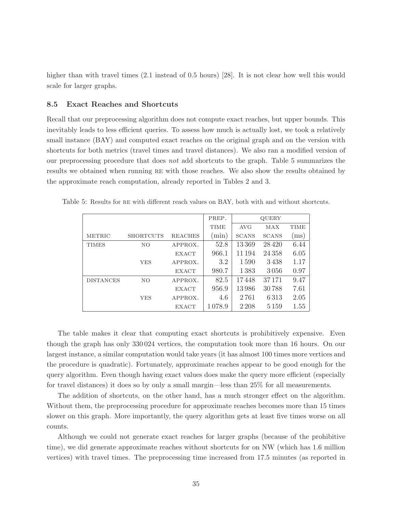higher than with travel times  $(2.1 \text{ instead of } 0.5 \text{ hours})$  [28]. It is not clear how well this would scale for larger graphs.

## 8.5 Exact Reaches and Shortcuts

Recall that our preprocessing algorithm does not compute exact reaches, but upper bounds. This inevitably leads to less efficient queries. To assess how much is actually lost, we took a relatively small instance (BAY) and computed exact reaches on the original graph and on the version with shortcuts for both metrics (travel times and travel distances). We also ran a modified version of our preprocessing procedure that does not add shortcuts to the graph. Table 5 summarizes the results we obtained when running re with those reaches. We also show the results obtained by the approximate reach computation, already reported in Tables 2 and 3.

|                  |                  |                | PREP.       |              | <b>QUERY</b> |                   |
|------------------|------------------|----------------|-------------|--------------|--------------|-------------------|
|                  |                  |                | <b>TIME</b> | <b>AVG</b>   | MAX          | <b>TIME</b>       |
| <b>METRIC</b>    | <b>SHORTCUTS</b> | <b>REACHES</b> | $(\min)$    | <b>SCANS</b> | <b>SCANS</b> | $\overline{ms}$ ) |
| <b>TIMES</b>     | NO.              | APPROX.        | 52.8        | 13369        | 28420        | 6.44              |
|                  |                  | <b>EXACT</b>   | 966.1       | 11 194       | 24358        | 6.05              |
|                  | YES              | APPROX.        | 3.2         | 1590         | 3438         | 1.17              |
|                  |                  | <b>EXACT</b>   | 980.7       | 1383         | 3056         | 0.97              |
| <b>DISTANCES</b> | NO.              | APPROX.        | 82.5        | 17448        | 37171        | 9.47              |
|                  |                  | <b>EXACT</b>   | 956.9       | 13986        | 30788        | 7.61              |
|                  | <b>YES</b>       | APPROX.        | 4.6         | 2761         | 6313         | 2.05              |
|                  |                  | <b>EXACT</b>   | 1078.9      | 2 2 0 8      | 5 1 5 9      | $1.55\,$          |

Table 5: Results for re with different reach values on BAY, both with and without shortcuts.

The table makes it clear that computing exact shortcuts is prohibitively expensive. Even though the graph has only 330 024 vertices, the computation took more than 16 hours. On our largest instance, a similar computation would take years (it has almost 100 times more vertices and the procedure is quadratic). Fortunately, approximate reaches appear to be good enough for the query algorithm. Even though having exact values does make the query more efficient (especially for travel distances) it does so by only a small margin—less than 25% for all measurements.

The addition of shortcuts, on the other hand, has a much stronger effect on the algorithm. Without them, the preprocessing procedure for approximate reaches becomes more than 15 times slower on this graph. More importantly, the query algorithm gets at least five times worse on all counts.

Although we could not generate exact reaches for larger graphs (because of the prohibitive time), we did generate approximate reaches without shortcuts for on NW (which has 1.6 million vertices) with travel times. The preprocessing time increased from 17.5 minutes (as reported in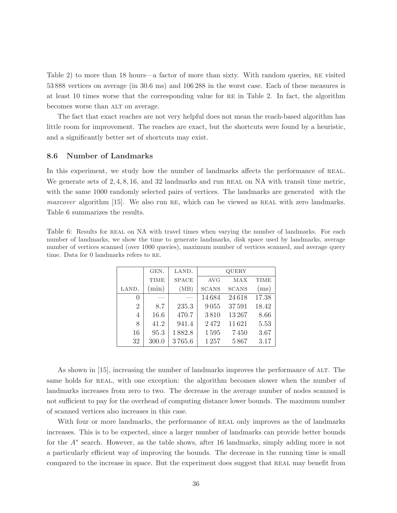Table 2) to more than 18 hours—a factor of more than sixty. With random queries, re visited 53 888 vertices on average (in 30.6 ms) and 106 288 in the worst case. Each of these measures is at least 10 times worse that the corresponding value for re in Table 2. In fact, the algorithm becomes worse than ALT on average.

The fact that exact reaches are not very helpful does not mean the reach-based algorithm has little room for improvement. The reaches are exact, but the shortcuts were found by a heuristic, and a significantly better set of shortcuts may exist.

## 8.6 Number of Landmarks

In this experiment, we study how the number of landmarks affects the performance of REAL. We generate sets of  $2, 4, 8, 16$ , and  $32$  landmarks and run REAL on NA with transit time metric, with the same 1000 randomly selected pairs of vertices. The landmarks are generated with the  $maxcover$  algorithm [15]. We also run RE, which can be viewed as REAL with zero landmarks. Table 6 summarizes the results.

Table 6: Results for REAL on NA with travel times when varying the number of landmarks. For each number of landmarks, we show the time to generate landmarks, disk space used by landmarks, average number of vertices scanned (over 1000 queries), maximum number of vertices scanned, and average query time. Data for 0 landmarks refers to RE.

|                  | GEN.        | LAND.        |              | QUERY        |       |
|------------------|-------------|--------------|--------------|--------------|-------|
|                  | <b>TIME</b> | <b>SPACE</b> | <b>AVG</b>   | MAX          | TIME  |
| LAND.            | (min)       | (MB)         | <b>SCANS</b> | <b>SCANS</b> | (ms)  |
| $\left( \right)$ |             |              | 14684        | 24618        | 17.38 |
| $\overline{2}$   | 8.7         | 235.3        | 9055         | 37591        | 18.42 |
| 4                | 16.6        | 470.7        | 3810         | 13267        | 8.66  |
| 8                | 41.2        | 941.4        | 2472         | 11621        | 5.53  |
| 16               | 95.3        | 1882.8       | 1595         | 7450         | 3.67  |
| 32               | 300.0       | 3765.6       | 1257         | 5867         | 3.17  |
|                  |             |              |              |              |       |

As shown in [15], increasing the number of landmarks improves the performance of ALT. The same holds for REAL, with one exception: the algorithm becomes slower when the number of landmarks increases from zero to two. The decrease in the average number of nodes scanned is not sufficient to pay for the overhead of computing distance lower bounds. The maximum number of scanned vertices also increases in this case.

With four or more landmarks, the performance of REAL only improves as the of landmarks increases. This is to be expected, since a larger number of landmarks can provide better bounds for the  $A^*$  search. However, as the table shows, after 16 landmarks, simply adding more is not a particularly efficient way of improving the bounds. The decrease in the running time is small compared to the increase in space. But the experiment does suggest that REAL may benefit from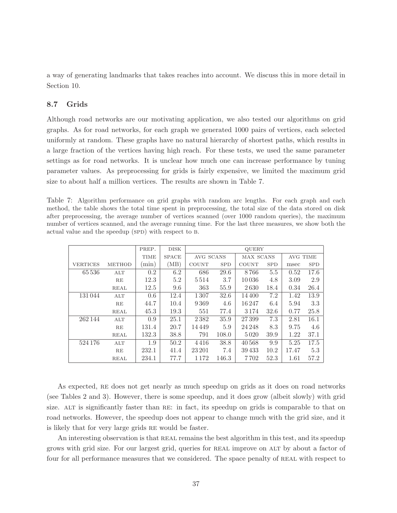a way of generating landmarks that takes reaches into account. We discuss this in more detail in Section 10.

## 8.7 Grids

Although road networks are our motivating application, we also tested our algorithms on grid graphs. As for road networks, for each graph we generated 1000 pairs of vertices, each selected uniformly at random. These graphs have no natural hierarchy of shortest paths, which results in a large fraction of the vertices having high reach. For these tests, we used the same parameter settings as for road networks. It is unclear how much one can increase performance by tuning parameter values. As preprocessing for grids is fairly expensive, we limited the maximum grid size to about half a million vertices. The results are shown in Table 7.

Table 7: Algorithm performance on grid graphs with random arc lengths. For each graph and each method, the table shows the total time spent in preprocessing, the total size of the data stored on disk after preprocessing, the average number of vertices scanned (over 1000 random queries), the maximum number of vertices scanned, and the average running time. For the last three measures, we show both the actual value and the speedup (SPD) with respect to B.

|                 |               | PREP.       | <b>DISK</b>  | <b>QUERY</b> |            |                  |            |          |            |  |
|-----------------|---------------|-------------|--------------|--------------|------------|------------------|------------|----------|------------|--|
|                 |               | <b>TIME</b> | <b>SPACE</b> | AVG SCANS    |            | <b>MAX SCANS</b> |            | AVG TIME |            |  |
| <b>VERTICES</b> | <b>METHOD</b> | min)        | (MB)         | <b>COUNT</b> | <b>SPD</b> | <b>COUNT</b>     | <b>SPD</b> | msec     | <b>SPD</b> |  |
| 65 5 36         | $\rm{ALT}$    | 0.2         | 6.2          | 686          | 29.6       | 8766             | 5.5        | 0.52     | 17.6       |  |
|                 | RE            | 12.3        | 5.2          | 5514         | 3.7        | 10036            | 4.8        | 3.09     | 2.9        |  |
|                 | <b>REAL</b>   | 12.5        | 9.6          | 363          | 55.9       | 2630             | 18.4       | 0.34     | 26.4       |  |
| 131044          | ALT           | 0.6         | 12.4         | 1307         | 32.6       | 14400            | 7.2        | 1.42     | 13.9       |  |
|                 | RE            | 44.7        | 10.4         | 9369         | 4.6        | 16247            | 6.4        | 5.94     | 3.3        |  |
|                 | REAL          | 45.3        | 19.3         | 551          | 77.4       | 3174             | 32.6       | 0.77     | 25.8       |  |
| 262 144         | $\rm{ALT}$    | 0.9         | 25.1         | 2382         | 35.9       | 27399            | 7.3        | 2.81     | 16.1       |  |
|                 | RE            | 131.4       | 20.7         | 14449        | 5.9        | 24 24 8          | 8.3        | 9.75     | 4.6        |  |
|                 | <b>REAL</b>   | 132.3       | 38.8         | 791          | 108.0      | 5020             | 39.9       | 1.22     | 37.1       |  |
| 524 176         | $\rm{ALT}$    | 1.9         | 50.2         | 4416         | 38.8       | 40568            | 9.9        | 5.25     | 17.5       |  |
|                 | RE            | 232.1       | 41.4         | 23 201       | 7.4        | 39433            | 10.2       | 17.47    | 5.3        |  |
|                 | <b>REAL</b>   | 234.1       | 77.7         | 1 1 7 2      | 146.3      | 7702             | 52.3       | 1.61     | 57.2       |  |

As expected, RE does not get nearly as much speedup on grids as it does on road networks (see Tables 2 and 3). However, there is some speedup, and it does grow (albeit slowly) with grid size. ALT is significantly faster than RE: in fact, its speedup on grids is comparable to that on road networks. However, the speedup does not appear to change much with the grid size, and it is likely that for very large grids re would be faster.

An interesting observation is that REAL remains the best algorithm in this test, and its speedup grows with grid size. For our largest grid, queries for real improve on alt by about a factor of four for all performance measures that we considered. The space penalty of REAL with respect to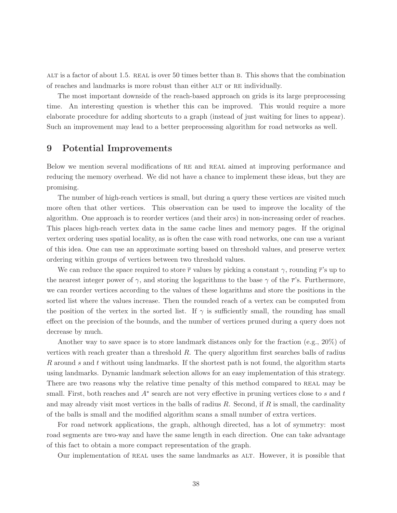alt is a factor of about 1.5. real is over 50 times better than b. This shows that the combination of reaches and landmarks is more robust than either alt or re individually.

The most important downside of the reach-based approach on grids is its large preprocessing time. An interesting question is whether this can be improved. This would require a more elaborate procedure for adding shortcuts to a graph (instead of just waiting for lines to appear). Such an improvement may lead to a better preprocessing algorithm for road networks as well.

## 9 Potential Improvements

Below we mention several modifications of RE and REAL aimed at improving performance and reducing the memory overhead. We did not have a chance to implement these ideas, but they are promising.

The number of high-reach vertices is small, but during a query these vertices are visited much more often that other vertices. This observation can be used to improve the locality of the algorithm. One approach is to reorder vertices (and their arcs) in non-increasing order of reaches. This places high-reach vertex data in the same cache lines and memory pages. If the original vertex ordering uses spatial locality, as is often the case with road networks, one can use a variant of this idea. One can use an approximate sorting based on threshold values, and preserve vertex ordering within groups of vertices between two threshold values.

We can reduce the space required to store  $\bar{r}$  values by picking a constant  $\gamma$ , rounding  $\bar{r}$ 's up to the nearest integer power of  $\gamma$ , and storing the logarithms to the base  $\gamma$  of the  $\bar{r}$ 's. Furthermore, we can reorder vertices according to the values of these logarithms and store the positions in the sorted list where the values increase. Then the rounded reach of a vertex can be computed from the position of the vertex in the sorted list. If  $\gamma$  is sufficiently small, the rounding has small effect on the precision of the bounds, and the number of vertices pruned during a query does not decrease by much.

Another way to save space is to store landmark distances only for the fraction (e.g., 20%) of vertices with reach greater than a threshold  $R$ . The query algorithm first searches balls of radius R around s and t without using landmarks. If the shortest path is not found, the algorithm starts using landmarks. Dynamic landmark selection allows for an easy implementation of this strategy. There are two reasons why the relative time penalty of this method compared to REAL may be small. First, both reaches and  $A^*$  search are not very effective in pruning vertices close to s and t and may already visit most vertices in the balls of radius  $R$ . Second, if  $R$  is small, the cardinality of the balls is small and the modified algorithm scans a small number of extra vertices.

For road network applications, the graph, although directed, has a lot of symmetry: most road segments are two-way and have the same length in each direction. One can take advantage of this fact to obtain a more compact representation of the graph.

Our implementation of real uses the same landmarks as alt. However, it is possible that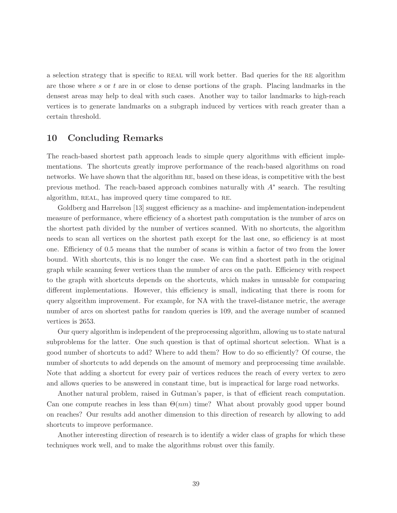a selection strategy that is specific to real will work better. Bad queries for the re algorithm are those where s or  $t$  are in or close to dense portions of the graph. Placing landmarks in the densest areas may help to deal with such cases. Another way to tailor landmarks to high-reach vertices is to generate landmarks on a subgraph induced by vertices with reach greater than a certain threshold.

# 10 Concluding Remarks

The reach-based shortest path approach leads to simple query algorithms with efficient implementations. The shortcuts greatly improve performance of the reach-based algorithms on road networks. We have shown that the algorithm re, based on these ideas, is competitive with the best previous method. The reach-based approach combines naturally with  $A^*$  search. The resulting algorithm, REAL, has improved query time compared to RE.

Goldberg and Harrelson [13] suggest efficiency as a machine- and implementation-independent measure of performance, where efficiency of a shortest path computation is the number of arcs on the shortest path divided by the number of vertices scanned. With no shortcuts, the algorithm needs to scan all vertices on the shortest path except for the last one, so efficiency is at most one. Efficiency of 0.5 means that the number of scans is within a factor of two from the lower bound. With shortcuts, this is no longer the case. We can find a shortest path in the original graph while scanning fewer vertices than the number of arcs on the path. Efficiency with respect to the graph with shortcuts depends on the shortcuts, which makes in unusable for comparing different implementations. However, this efficiency is small, indicating that there is room for query algorithm improvement. For example, for NA with the travel-distance metric, the average number of arcs on shortest paths for random queries is 109, and the average number of scanned vertices is 2653.

Our query algorithm is independent of the preprocessing algorithm, allowing us to state natural subproblems for the latter. One such question is that of optimal shortcut selection. What is a good number of shortcuts to add? Where to add them? How to do so efficiently? Of course, the number of shortcuts to add depends on the amount of memory and preprocessing time available. Note that adding a shortcut for every pair of vertices reduces the reach of every vertex to zero and allows queries to be answered in constant time, but is impractical for large road networks.

Another natural problem, raised in Gutman's paper, is that of efficient reach computation. Can one compute reaches in less than  $\Theta(nm)$  time? What about provably good upper bound on reaches? Our results add another dimension to this direction of research by allowing to add shortcuts to improve performance.

Another interesting direction of research is to identify a wider class of graphs for which these techniques work well, and to make the algorithms robust over this family.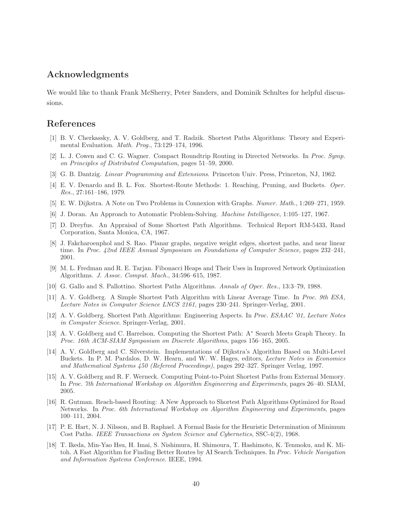# Acknowledgments

We would like to thank Frank McSherry, Peter Sanders, and Dominik Schultes for helpful discussions.

# References

- [1] B. V. Cherkassky, A. V. Goldberg, and T. Radzik. Shortest Paths Algorithms: Theory and Experimental Evaluation. Math. Prog., 73:129–174, 1996.
- [2] L. J. Cowen and C. G. Wagner. Compact Roundtrip Routing in Directed Networks. In Proc. Symp. on Principles of Distributed Computation, pages 51–59, 2000.
- [3] G. B. Dantzig. Linear Programming and Extensions. Princeton Univ. Press, Princeton, NJ, 1962.
- [4] E. V. Denardo and B. L. Fox. Shortest-Route Methods: 1. Reaching, Pruning, and Buckets. Oper. Res., 27:161–186, 1979.
- [5] E. W. Dijkstra. A Note on Two Problems in Connexion with Graphs. Numer. Math., 1:269–271, 1959.
- [6] J. Doran. An Approach to Automatic Problem-Solving. Machine Intelligence, 1:105–127, 1967.
- [7] D. Dreyfus. An Appraisal of Some Shortest Path Algorithms. Technical Report RM-5433, Rand Corporation, Santa Monica, CA, 1967.
- [8] J. Fakcharoenphol and S. Rao. Planar graphs, negative weight edges, shortest paths, and near linear time. In Proc. 42nd IEEE Annual Symposium on Foundations of Computer Science, pages 232–241, 2001.
- [9] M. L. Fredman and R. E. Tarjan. Fibonacci Heaps and Their Uses in Improved Network Optimization Algorithms. J. Assoc. Comput. Mach., 34:596–615, 1987.
- [10] G. Gallo and S. Pallottino. Shortest Paths Algorithms. Annals of Oper. Res., 13:3–79, 1988.
- [11] A. V. Goldberg. A Simple Shortest Path Algorithm with Linear Average Time. In Proc. 9th ESA, Lecture Notes in Computer Science LNCS 2161, pages 230–241. Springer-Verlag, 2001.
- [12] A. V. Goldberg. Shortest Path Algorithms: Engineering Aspects. In Proc. ESAAC '01, Lecture Notes in Computer Science. Springer-Verlag, 2001.
- [13] A. V. Goldberg and C. Harrelson. Computing the Shortest Path: A<sup>∗</sup> Search Meets Graph Theory. In Proc. 16th ACM-SIAM Symposium on Discrete Algorithms, pages 156–165, 2005.
- [14] A. V. Goldberg and C. Silverstein. Implementations of Dijkstra's Algorithm Based on Multi-Level Buckets. In P. M. Pardalos, D. W. Hearn, and W. W. Hages, editors, Lecture Notes in Economics and Mathematical Systems 450 (Refereed Proceedings), pages 292–327. Springer Verlag, 1997.
- [15] A. V. Goldberg and R. F. Werneck. Computing Point-to-Point Shortest Paths from External Memory. In Proc. 7th International Workshop on Algorithm Engineering and Experiments, pages 26–40. SIAM, 2005.
- [16] R. Gutman. Reach-based Routing: A New Approach to Shortest Path Algorithms Optimized for Road Networks. In Proc. 6th International Workshop on Algorithm Engineering and Experiments, pages 100–111, 2004.
- [17] P. E. Hart, N. J. Nilsson, and B. Raphael. A Formal Basis for the Heuristic Determination of Minimum Cost Paths. IEEE Transactions on System Science and Cybernetics, SSC-4(2), 1968.
- [18] T. Ikeda, Min-Yao Hsu, H. Imai, S. Nishimura, H. Shimoura, T. Hashimoto, K. Tenmoku, and K. Mitoh. A Fast Algorithm for Finding Better Routes by AI Search Techniques. In Proc. Vehicle Navigation and Information Systems Conference. IEEE, 1994.